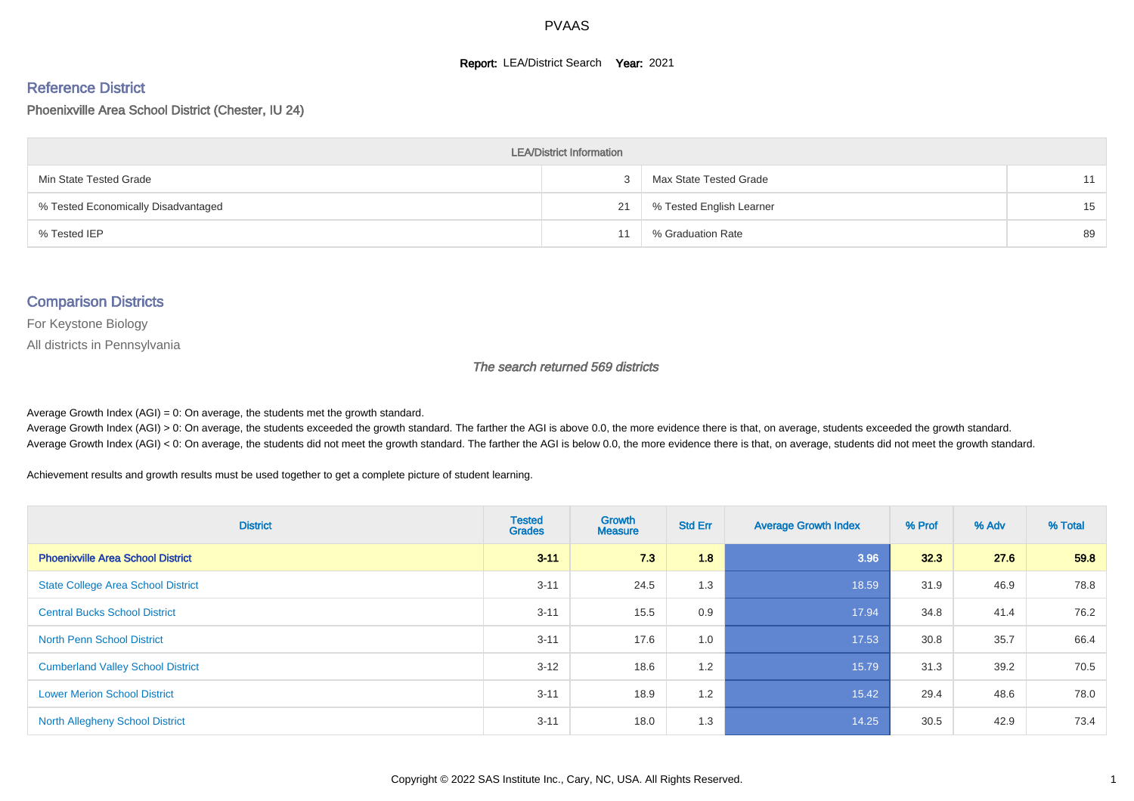#### **Report: LEA/District Search Year: 2021**

#### Reference District

Phoenixville Area School District (Chester, IU 24)

| <b>LEA/District Information</b>     |    |                          |    |  |  |  |  |  |  |
|-------------------------------------|----|--------------------------|----|--|--|--|--|--|--|
| Min State Tested Grade              |    | Max State Tested Grade   | 11 |  |  |  |  |  |  |
| % Tested Economically Disadvantaged | 21 | % Tested English Learner | 15 |  |  |  |  |  |  |
| % Tested IEP                        | 11 | % Graduation Rate        | 89 |  |  |  |  |  |  |

#### Comparison Districts

For Keystone Biology

All districts in Pennsylvania

The search returned 569 districts

Average Growth Index  $(AGI) = 0$ : On average, the students met the growth standard.

Average Growth Index (AGI) > 0: On average, the students exceeded the growth standard. The farther the AGI is above 0.0, the more evidence there is that, on average, students exceeded the growth standard. Average Growth Index (AGI) < 0: On average, the students did not meet the growth standard. The farther the AGI is below 0.0, the more evidence there is that, on average, students did not meet the growth standard.

Achievement results and growth results must be used together to get a complete picture of student learning.

| <b>District</b>                           | <b>Tested</b><br><b>Grades</b> | <b>Growth</b><br><b>Measure</b> | <b>Std Err</b> | <b>Average Growth Index</b> | % Prof | % Adv | % Total |
|-------------------------------------------|--------------------------------|---------------------------------|----------------|-----------------------------|--------|-------|---------|
| <b>Phoenixville Area School District</b>  | $3 - 11$                       | 7.3                             | 1.8            | 3.96                        | 32.3   | 27.6  | 59.8    |
| <b>State College Area School District</b> | $3 - 11$                       | 24.5                            | 1.3            | 18.59                       | 31.9   | 46.9  | 78.8    |
| <b>Central Bucks School District</b>      | $3 - 11$                       | 15.5                            | 0.9            | 17.94                       | 34.8   | 41.4  | 76.2    |
| <b>North Penn School District</b>         | $3 - 11$                       | 17.6                            | 1.0            | 17.53                       | 30.8   | 35.7  | 66.4    |
| <b>Cumberland Valley School District</b>  | $3 - 12$                       | 18.6                            | 1.2            | 15.79                       | 31.3   | 39.2  | 70.5    |
| <b>Lower Merion School District</b>       | $3 - 11$                       | 18.9                            | 1.2            | 15.42                       | 29.4   | 48.6  | 78.0    |
| <b>North Allegheny School District</b>    | $3 - 11$                       | 18.0                            | 1.3            | 14.25                       | 30.5   | 42.9  | 73.4    |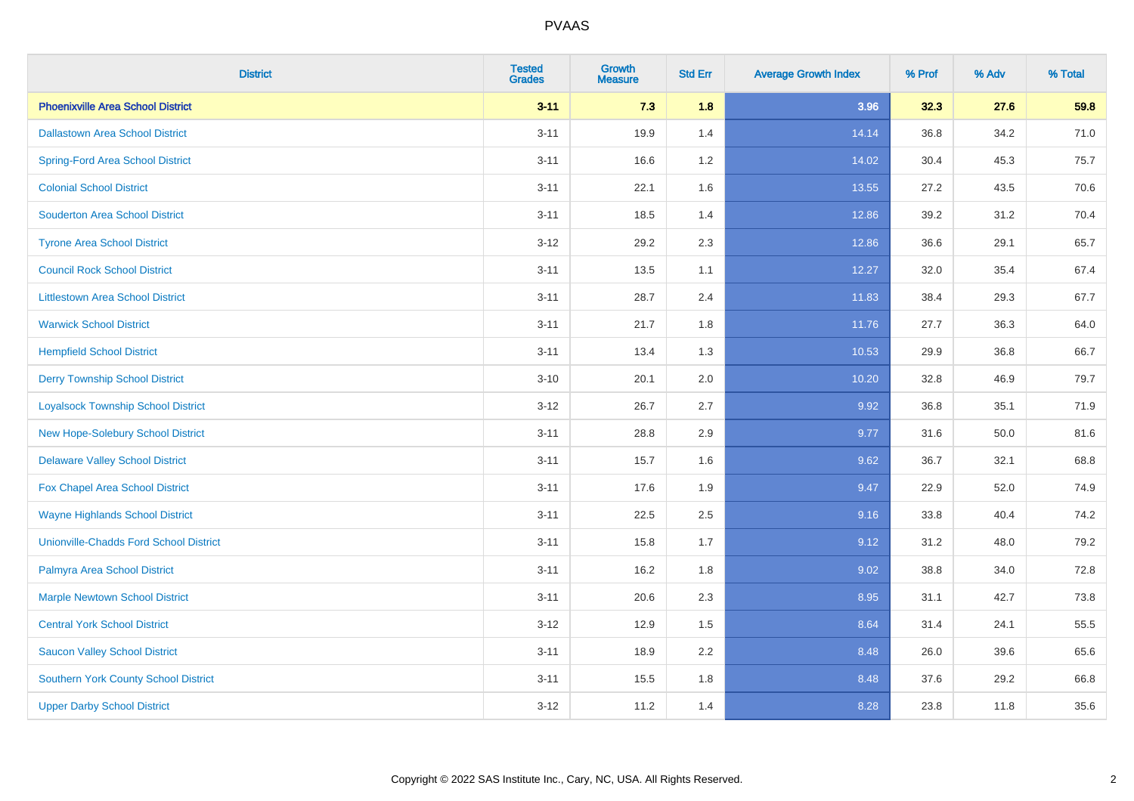| <b>District</b>                               | <b>Tested</b><br><b>Grades</b> | <b>Growth</b><br><b>Measure</b> | <b>Std Err</b> | <b>Average Growth Index</b> | % Prof | % Adv | % Total |
|-----------------------------------------------|--------------------------------|---------------------------------|----------------|-----------------------------|--------|-------|---------|
| <b>Phoenixville Area School District</b>      | $3 - 11$                       | 7.3                             | 1.8            | 3.96                        | 32.3   | 27.6  | 59.8    |
| <b>Dallastown Area School District</b>        | $3 - 11$                       | 19.9                            | 1.4            | 14.14                       | 36.8   | 34.2  | 71.0    |
| <b>Spring-Ford Area School District</b>       | $3 - 11$                       | 16.6                            | 1.2            | 14.02                       | 30.4   | 45.3  | 75.7    |
| <b>Colonial School District</b>               | $3 - 11$                       | 22.1                            | 1.6            | 13.55                       | 27.2   | 43.5  | 70.6    |
| <b>Souderton Area School District</b>         | $3 - 11$                       | 18.5                            | 1.4            | 12.86                       | 39.2   | 31.2  | 70.4    |
| <b>Tyrone Area School District</b>            | $3 - 12$                       | 29.2                            | 2.3            | 12.86                       | 36.6   | 29.1  | 65.7    |
| <b>Council Rock School District</b>           | $3 - 11$                       | 13.5                            | 1.1            | 12.27                       | 32.0   | 35.4  | 67.4    |
| <b>Littlestown Area School District</b>       | $3 - 11$                       | 28.7                            | 2.4            | 11.83                       | 38.4   | 29.3  | 67.7    |
| <b>Warwick School District</b>                | $3 - 11$                       | 21.7                            | 1.8            | 11.76                       | 27.7   | 36.3  | 64.0    |
| <b>Hempfield School District</b>              | $3 - 11$                       | 13.4                            | 1.3            | 10.53                       | 29.9   | 36.8  | 66.7    |
| <b>Derry Township School District</b>         | $3 - 10$                       | 20.1                            | 2.0            | 10.20                       | 32.8   | 46.9  | 79.7    |
| <b>Loyalsock Township School District</b>     | $3-12$                         | 26.7                            | 2.7            | 9.92                        | 36.8   | 35.1  | 71.9    |
| New Hope-Solebury School District             | $3 - 11$                       | 28.8                            | 2.9            | 9.77                        | 31.6   | 50.0  | 81.6    |
| <b>Delaware Valley School District</b>        | $3 - 11$                       | 15.7                            | 1.6            | 9.62                        | 36.7   | 32.1  | 68.8    |
| Fox Chapel Area School District               | $3 - 11$                       | 17.6                            | 1.9            | 9.47                        | 22.9   | 52.0  | 74.9    |
| <b>Wayne Highlands School District</b>        | $3 - 11$                       | 22.5                            | 2.5            | 9.16                        | 33.8   | 40.4  | 74.2    |
| <b>Unionville-Chadds Ford School District</b> | $3 - 11$                       | 15.8                            | 1.7            | 9.12                        | 31.2   | 48.0  | 79.2    |
| Palmyra Area School District                  | $3 - 11$                       | 16.2                            | 1.8            | 9.02                        | 38.8   | 34.0  | 72.8    |
| <b>Marple Newtown School District</b>         | $3 - 11$                       | 20.6                            | 2.3            | 8.95                        | 31.1   | 42.7  | 73.8    |
| <b>Central York School District</b>           | $3 - 12$                       | 12.9                            | 1.5            | 8.64                        | 31.4   | 24.1  | 55.5    |
| <b>Saucon Valley School District</b>          | $3 - 11$                       | 18.9                            | 2.2            | 8.48                        | 26.0   | 39.6  | 65.6    |
| <b>Southern York County School District</b>   | $3 - 11$                       | 15.5                            | 1.8            | 8.48                        | 37.6   | 29.2  | 66.8    |
| <b>Upper Darby School District</b>            | $3 - 12$                       | 11.2                            | 1.4            | 8.28                        | 23.8   | 11.8  | 35.6    |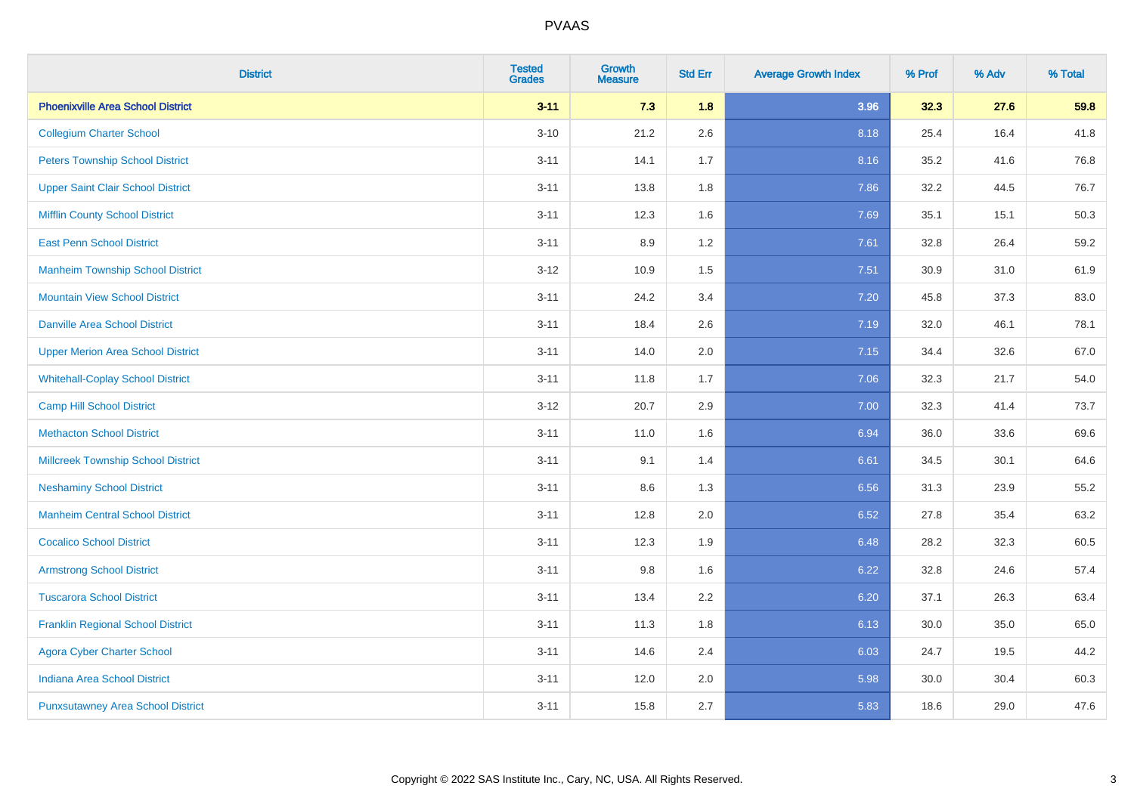| <b>District</b>                           | <b>Tested</b><br><b>Grades</b> | <b>Growth</b><br><b>Measure</b> | <b>Std Err</b> | <b>Average Growth Index</b> | % Prof | % Adv | % Total |
|-------------------------------------------|--------------------------------|---------------------------------|----------------|-----------------------------|--------|-------|---------|
| <b>Phoenixville Area School District</b>  | $3 - 11$                       | 7.3                             | 1.8            | 3.96                        | 32.3   | 27.6  | 59.8    |
| <b>Collegium Charter School</b>           | $3 - 10$                       | 21.2                            | 2.6            | 8.18                        | 25.4   | 16.4  | 41.8    |
| <b>Peters Township School District</b>    | $3 - 11$                       | 14.1                            | 1.7            | 8.16                        | 35.2   | 41.6  | 76.8    |
| <b>Upper Saint Clair School District</b>  | $3 - 11$                       | 13.8                            | 1.8            | 7.86                        | 32.2   | 44.5  | 76.7    |
| <b>Mifflin County School District</b>     | $3 - 11$                       | 12.3                            | 1.6            | 7.69                        | 35.1   | 15.1  | 50.3    |
| <b>East Penn School District</b>          | $3 - 11$                       | 8.9                             | 1.2            | 7.61                        | 32.8   | 26.4  | 59.2    |
| <b>Manheim Township School District</b>   | $3 - 12$                       | 10.9                            | 1.5            | 7.51                        | 30.9   | 31.0  | 61.9    |
| <b>Mountain View School District</b>      | $3 - 11$                       | 24.2                            | 3.4            | 7.20                        | 45.8   | 37.3  | 83.0    |
| <b>Danville Area School District</b>      | $3 - 11$                       | 18.4                            | 2.6            | 7.19                        | 32.0   | 46.1  | 78.1    |
| <b>Upper Merion Area School District</b>  | $3 - 11$                       | 14.0                            | 2.0            | 7.15                        | 34.4   | 32.6  | 67.0    |
| <b>Whitehall-Coplay School District</b>   | $3 - 11$                       | 11.8                            | 1.7            | 7.06                        | 32.3   | 21.7  | 54.0    |
| <b>Camp Hill School District</b>          | $3 - 12$                       | 20.7                            | 2.9            | 7.00                        | 32.3   | 41.4  | 73.7    |
| <b>Methacton School District</b>          | $3 - 11$                       | 11.0                            | 1.6            | 6.94                        | 36.0   | 33.6  | 69.6    |
| <b>Millcreek Township School District</b> | $3 - 11$                       | 9.1                             | 1.4            | 6.61                        | 34.5   | 30.1  | 64.6    |
| <b>Neshaminy School District</b>          | $3 - 11$                       | 8.6                             | 1.3            | 6.56                        | 31.3   | 23.9  | 55.2    |
| <b>Manheim Central School District</b>    | $3 - 11$                       | 12.8                            | 2.0            | 6.52                        | 27.8   | 35.4  | 63.2    |
| <b>Cocalico School District</b>           | $3 - 11$                       | 12.3                            | 1.9            | 6.48                        | 28.2   | 32.3  | 60.5    |
| <b>Armstrong School District</b>          | $3 - 11$                       | 9.8                             | 1.6            | 6.22                        | 32.8   | 24.6  | 57.4    |
| <b>Tuscarora School District</b>          | $3 - 11$                       | 13.4                            | 2.2            | 6.20                        | 37.1   | 26.3  | 63.4    |
| <b>Franklin Regional School District</b>  | $3 - 11$                       | 11.3                            | 1.8            | 6.13                        | 30.0   | 35.0  | 65.0    |
| <b>Agora Cyber Charter School</b>         | $3 - 11$                       | 14.6                            | 2.4            | 6.03                        | 24.7   | 19.5  | 44.2    |
| <b>Indiana Area School District</b>       | $3 - 11$                       | 12.0                            | 2.0            | 5.98                        | 30.0   | 30.4  | 60.3    |
| <b>Punxsutawney Area School District</b>  | $3 - 11$                       | 15.8                            | 2.7            | 5.83                        | 18.6   | 29.0  | 47.6    |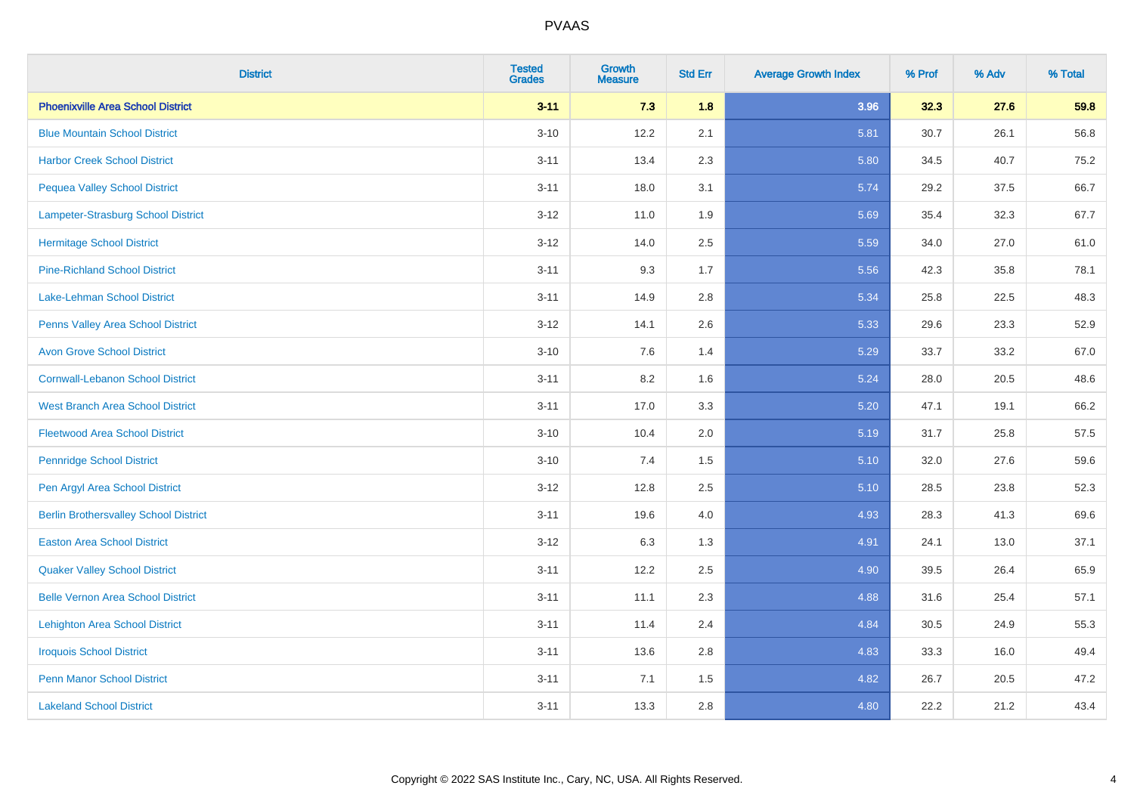| <b>District</b>                              | <b>Tested</b><br><b>Grades</b> | <b>Growth</b><br><b>Measure</b> | <b>Std Err</b> | <b>Average Growth Index</b> | % Prof | % Adv | % Total |
|----------------------------------------------|--------------------------------|---------------------------------|----------------|-----------------------------|--------|-------|---------|
| <b>Phoenixville Area School District</b>     | $3 - 11$                       | 7.3                             | 1.8            | 3.96                        | 32.3   | 27.6  | 59.8    |
| <b>Blue Mountain School District</b>         | $3 - 10$                       | 12.2                            | 2.1            | 5.81                        | 30.7   | 26.1  | 56.8    |
| <b>Harbor Creek School District</b>          | $3 - 11$                       | 13.4                            | 2.3            | 5.80                        | 34.5   | 40.7  | 75.2    |
| <b>Pequea Valley School District</b>         | $3 - 11$                       | 18.0                            | 3.1            | 5.74                        | 29.2   | 37.5  | 66.7    |
| Lampeter-Strasburg School District           | $3 - 12$                       | 11.0                            | 1.9            | 5.69                        | 35.4   | 32.3  | 67.7    |
| <b>Hermitage School District</b>             | $3 - 12$                       | 14.0                            | 2.5            | 5.59                        | 34.0   | 27.0  | 61.0    |
| <b>Pine-Richland School District</b>         | $3 - 11$                       | 9.3                             | 1.7            | 5.56                        | 42.3   | 35.8  | 78.1    |
| Lake-Lehman School District                  | $3 - 11$                       | 14.9                            | 2.8            | 5.34                        | 25.8   | 22.5  | 48.3    |
| Penns Valley Area School District            | $3 - 12$                       | 14.1                            | 2.6            | 5.33                        | 29.6   | 23.3  | 52.9    |
| <b>Avon Grove School District</b>            | $3 - 10$                       | 7.6                             | 1.4            | 5.29                        | 33.7   | 33.2  | 67.0    |
| <b>Cornwall-Lebanon School District</b>      | $3 - 11$                       | 8.2                             | 1.6            | 5.24                        | 28.0   | 20.5  | 48.6    |
| <b>West Branch Area School District</b>      | $3 - 11$                       | 17.0                            | 3.3            | 5.20                        | 47.1   | 19.1  | 66.2    |
| <b>Fleetwood Area School District</b>        | $3 - 10$                       | 10.4                            | 2.0            | 5.19                        | 31.7   | 25.8  | 57.5    |
| <b>Pennridge School District</b>             | $3 - 10$                       | 7.4                             | 1.5            | 5.10                        | 32.0   | 27.6  | 59.6    |
| Pen Argyl Area School District               | $3-12$                         | 12.8                            | 2.5            | 5.10                        | 28.5   | 23.8  | 52.3    |
| <b>Berlin Brothersvalley School District</b> | $3 - 11$                       | 19.6                            | 4.0            | 4.93                        | 28.3   | 41.3  | 69.6    |
| <b>Easton Area School District</b>           | $3 - 12$                       | 6.3                             | 1.3            | 4.91                        | 24.1   | 13.0  | 37.1    |
| <b>Quaker Valley School District</b>         | $3 - 11$                       | 12.2                            | 2.5            | 4.90                        | 39.5   | 26.4  | 65.9    |
| <b>Belle Vernon Area School District</b>     | $3 - 11$                       | 11.1                            | 2.3            | 4.88                        | 31.6   | 25.4  | 57.1    |
| <b>Lehighton Area School District</b>        | $3 - 11$                       | 11.4                            | 2.4            | 4.84                        | 30.5   | 24.9  | 55.3    |
| <b>Iroquois School District</b>              | $3 - 11$                       | 13.6                            | 2.8            | 4.83                        | 33.3   | 16.0  | 49.4    |
| <b>Penn Manor School District</b>            | $3 - 11$                       | 7.1                             | 1.5            | 4.82                        | 26.7   | 20.5  | 47.2    |
| <b>Lakeland School District</b>              | $3 - 11$                       | 13.3                            | 2.8            | 4.80                        | 22.2   | 21.2  | 43.4    |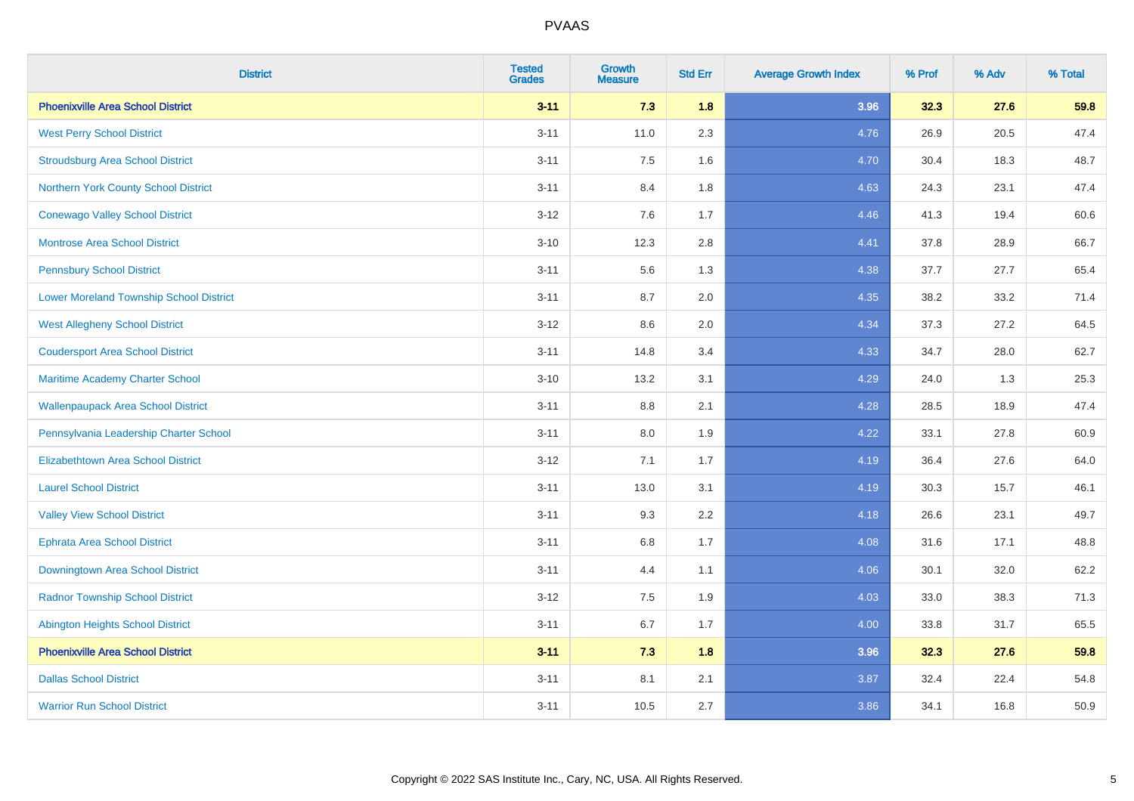| <b>District</b>                                | <b>Tested</b><br><b>Grades</b> | <b>Growth</b><br><b>Measure</b> | <b>Std Err</b> | <b>Average Growth Index</b> | % Prof | % Adv    | % Total |
|------------------------------------------------|--------------------------------|---------------------------------|----------------|-----------------------------|--------|----------|---------|
| <b>Phoenixville Area School District</b>       | $3 - 11$                       | 7.3                             | 1.8            | 3.96                        | 32.3   | 27.6     | 59.8    |
| <b>West Perry School District</b>              | $3 - 11$                       | 11.0                            | 2.3            | 4.76                        | 26.9   | $20.5\,$ | 47.4    |
| <b>Stroudsburg Area School District</b>        | $3 - 11$                       | 7.5                             | 1.6            | 4.70                        | 30.4   | 18.3     | 48.7    |
| Northern York County School District           | $3 - 11$                       | 8.4                             | 1.8            | 4.63                        | 24.3   | 23.1     | 47.4    |
| <b>Conewago Valley School District</b>         | $3 - 12$                       | 7.6                             | 1.7            | 4.46                        | 41.3   | 19.4     | 60.6    |
| <b>Montrose Area School District</b>           | $3 - 10$                       | 12.3                            | 2.8            | 4.41                        | 37.8   | 28.9     | 66.7    |
| <b>Pennsbury School District</b>               | $3 - 11$                       | 5.6                             | 1.3            | 4.38                        | 37.7   | 27.7     | 65.4    |
| <b>Lower Moreland Township School District</b> | $3 - 11$                       | 8.7                             | 2.0            | 4.35                        | 38.2   | 33.2     | 71.4    |
| <b>West Allegheny School District</b>          | $3 - 12$                       | 8.6                             | 2.0            | 4.34                        | 37.3   | 27.2     | 64.5    |
| <b>Coudersport Area School District</b>        | $3 - 11$                       | 14.8                            | 3.4            | 4.33                        | 34.7   | 28.0     | 62.7    |
| Maritime Academy Charter School                | $3 - 10$                       | 13.2                            | 3.1            | 4.29                        | 24.0   | 1.3      | 25.3    |
| <b>Wallenpaupack Area School District</b>      | $3 - 11$                       | 8.8                             | 2.1            | 4.28                        | 28.5   | 18.9     | 47.4    |
| Pennsylvania Leadership Charter School         | $3 - 11$                       | 8.0                             | 1.9            | 4.22                        | 33.1   | 27.8     | 60.9    |
| <b>Elizabethtown Area School District</b>      | $3-12$                         | 7.1                             | 1.7            | 4.19                        | 36.4   | 27.6     | 64.0    |
| <b>Laurel School District</b>                  | $3 - 11$                       | 13.0                            | 3.1            | 4.19                        | 30.3   | 15.7     | 46.1    |
| <b>Valley View School District</b>             | $3 - 11$                       | 9.3                             | 2.2            | 4.18                        | 26.6   | 23.1     | 49.7    |
| <b>Ephrata Area School District</b>            | $3 - 11$                       | 6.8                             | 1.7            | 4.08                        | 31.6   | 17.1     | 48.8    |
| <b>Downingtown Area School District</b>        | $3 - 11$                       | 4.4                             | 1.1            | 4.06                        | 30.1   | 32.0     | 62.2    |
| <b>Radnor Township School District</b>         | $3 - 12$                       | 7.5                             | 1.9            | 4.03                        | 33.0   | 38.3     | 71.3    |
| <b>Abington Heights School District</b>        | $3 - 11$                       | 6.7                             | 1.7            | 4.00                        | 33.8   | 31.7     | 65.5    |
| <b>Phoenixville Area School District</b>       | $3 - 11$                       | 7.3                             | 1.8            | 3.96                        | 32.3   | 27.6     | 59.8    |
| <b>Dallas School District</b>                  | $3 - 11$                       | 8.1                             | 2.1            | 3.87                        | 32.4   | 22.4     | 54.8    |
| <b>Warrior Run School District</b>             | $3 - 11$                       | 10.5                            | 2.7            | 3.86                        | 34.1   | 16.8     | 50.9    |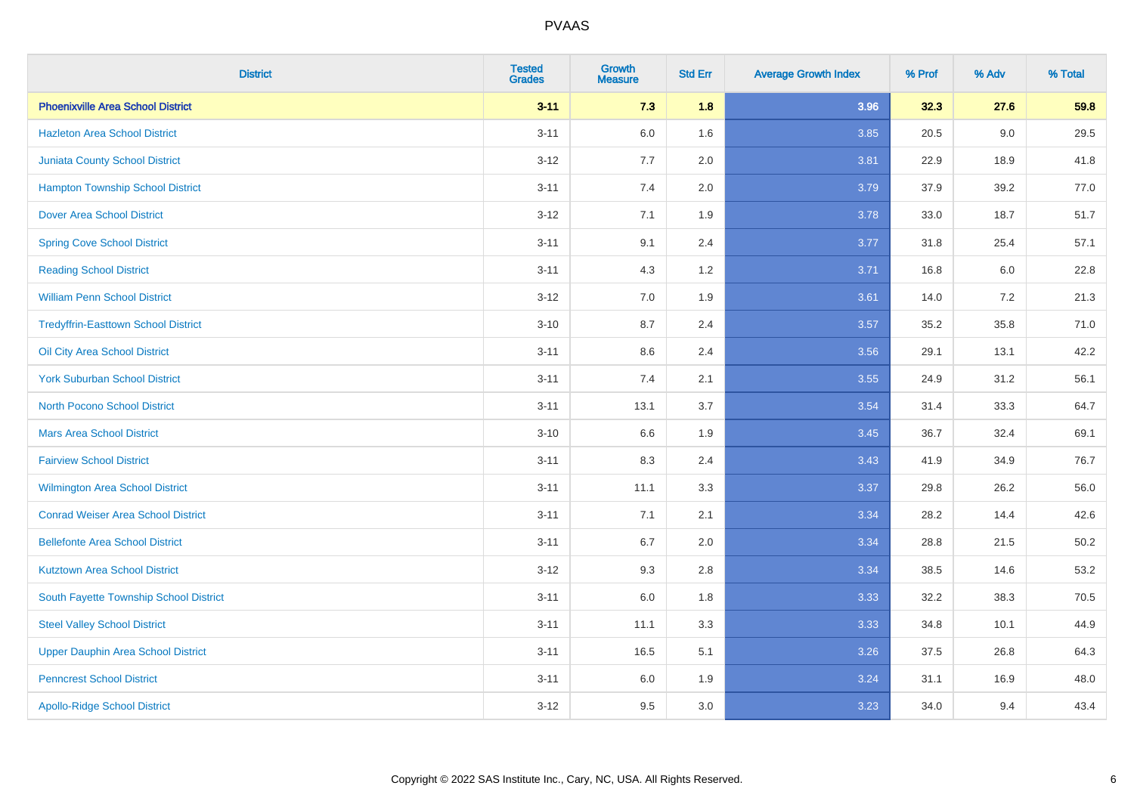| <b>District</b>                            | <b>Tested</b><br><b>Grades</b> | <b>Growth</b><br><b>Measure</b> | <b>Std Err</b> | <b>Average Growth Index</b> | % Prof | % Adv | % Total  |
|--------------------------------------------|--------------------------------|---------------------------------|----------------|-----------------------------|--------|-------|----------|
| <b>Phoenixville Area School District</b>   | $3 - 11$                       | 7.3                             | 1.8            | 3.96                        | 32.3   | 27.6  | 59.8     |
| <b>Hazleton Area School District</b>       | $3 - 11$                       | $6.0\,$                         | 1.6            | 3.85                        | 20.5   | 9.0   | 29.5     |
| <b>Juniata County School District</b>      | $3 - 12$                       | 7.7                             | 2.0            | 3.81                        | 22.9   | 18.9  | 41.8     |
| <b>Hampton Township School District</b>    | $3 - 11$                       | 7.4                             | 2.0            | 3.79                        | 37.9   | 39.2  | 77.0     |
| <b>Dover Area School District</b>          | $3 - 12$                       | 7.1                             | 1.9            | 3.78                        | 33.0   | 18.7  | 51.7     |
| <b>Spring Cove School District</b>         | $3 - 11$                       | 9.1                             | 2.4            | 3.77                        | 31.8   | 25.4  | 57.1     |
| <b>Reading School District</b>             | $3 - 11$                       | 4.3                             | 1.2            | 3.71                        | 16.8   | 6.0   | 22.8     |
| <b>William Penn School District</b>        | $3 - 12$                       | 7.0                             | 1.9            | 3.61                        | 14.0   | 7.2   | 21.3     |
| <b>Tredyffrin-Easttown School District</b> | $3 - 10$                       | 8.7                             | 2.4            | 3.57                        | 35.2   | 35.8  | 71.0     |
| Oil City Area School District              | $3 - 11$                       | 8.6                             | 2.4            | 3.56                        | 29.1   | 13.1  | 42.2     |
| <b>York Suburban School District</b>       | $3 - 11$                       | 7.4                             | 2.1            | 3.55                        | 24.9   | 31.2  | 56.1     |
| <b>North Pocono School District</b>        | $3 - 11$                       | 13.1                            | 3.7            | 3.54                        | 31.4   | 33.3  | 64.7     |
| <b>Mars Area School District</b>           | $3 - 10$                       | 6.6                             | 1.9            | 3.45                        | 36.7   | 32.4  | 69.1     |
| <b>Fairview School District</b>            | $3 - 11$                       | 8.3                             | 2.4            | 3.43                        | 41.9   | 34.9  | 76.7     |
| <b>Wilmington Area School District</b>     | $3 - 11$                       | 11.1                            | 3.3            | 3.37                        | 29.8   | 26.2  | 56.0     |
| <b>Conrad Weiser Area School District</b>  | $3 - 11$                       | 7.1                             | 2.1            | 3.34                        | 28.2   | 14.4  | 42.6     |
| <b>Bellefonte Area School District</b>     | $3 - 11$                       | 6.7                             | 2.0            | 3.34                        | 28.8   | 21.5  | $50.2\,$ |
| <b>Kutztown Area School District</b>       | $3 - 12$                       | 9.3                             | 2.8            | 3.34                        | 38.5   | 14.6  | 53.2     |
| South Fayette Township School District     | $3 - 11$                       | $6.0\,$                         | 1.8            | 3.33                        | 32.2   | 38.3  | 70.5     |
| <b>Steel Valley School District</b>        | $3 - 11$                       | 11.1                            | 3.3            | 3.33                        | 34.8   | 10.1  | 44.9     |
| Upper Dauphin Area School District         | $3 - 11$                       | 16.5                            | 5.1            | 3.26                        | 37.5   | 26.8  | 64.3     |
| <b>Penncrest School District</b>           | $3 - 11$                       | 6.0                             | 1.9            | 3.24                        | 31.1   | 16.9  | 48.0     |
| <b>Apollo-Ridge School District</b>        | $3 - 12$                       | 9.5                             | 3.0            | 3.23                        | 34.0   | 9.4   | 43.4     |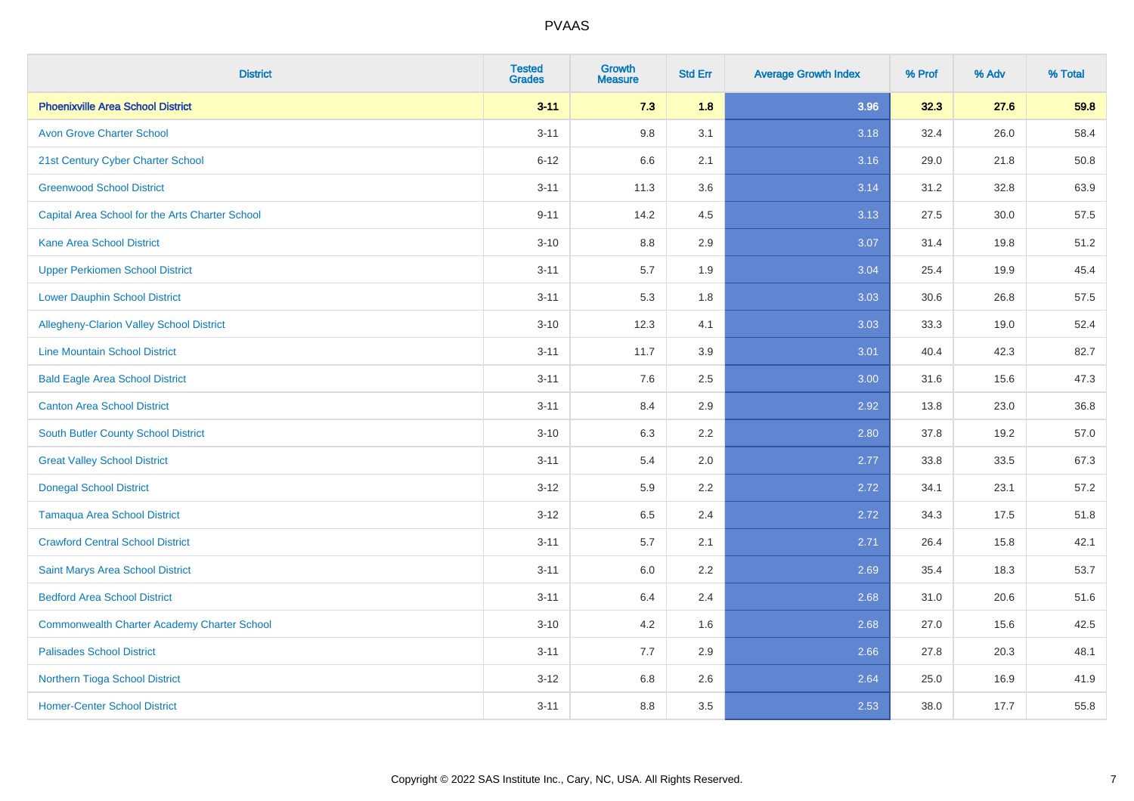| <b>District</b>                                    | <b>Tested</b><br><b>Grades</b> | <b>Growth</b><br><b>Measure</b> | <b>Std Err</b> | <b>Average Growth Index</b> | % Prof | % Adv | % Total |
|----------------------------------------------------|--------------------------------|---------------------------------|----------------|-----------------------------|--------|-------|---------|
| <b>Phoenixville Area School District</b>           | $3 - 11$                       | 7.3                             | 1.8            | 3.96                        | 32.3   | 27.6  | 59.8    |
| <b>Avon Grove Charter School</b>                   | $3 - 11$                       | 9.8                             | 3.1            | 3.18                        | 32.4   | 26.0  | 58.4    |
| 21st Century Cyber Charter School                  | $6 - 12$                       | 6.6                             | 2.1            | 3.16                        | 29.0   | 21.8  | 50.8    |
| <b>Greenwood School District</b>                   | $3 - 11$                       | 11.3                            | 3.6            | 3.14                        | 31.2   | 32.8  | 63.9    |
| Capital Area School for the Arts Charter School    | $9 - 11$                       | 14.2                            | 4.5            | 3.13                        | 27.5   | 30.0  | 57.5    |
| <b>Kane Area School District</b>                   | $3 - 10$                       | 8.8                             | 2.9            | 3.07                        | 31.4   | 19.8  | 51.2    |
| <b>Upper Perkiomen School District</b>             | $3 - 11$                       | 5.7                             | 1.9            | 3.04                        | 25.4   | 19.9  | 45.4    |
| <b>Lower Dauphin School District</b>               | $3 - 11$                       | 5.3                             | 1.8            | 3.03                        | 30.6   | 26.8  | 57.5    |
| Allegheny-Clarion Valley School District           | $3 - 10$                       | 12.3                            | 4.1            | 3.03                        | 33.3   | 19.0  | 52.4    |
| <b>Line Mountain School District</b>               | $3 - 11$                       | 11.7                            | 3.9            | 3.01                        | 40.4   | 42.3  | 82.7    |
| <b>Bald Eagle Area School District</b>             | $3 - 11$                       | 7.6                             | 2.5            | 3.00                        | 31.6   | 15.6  | 47.3    |
| <b>Canton Area School District</b>                 | $3 - 11$                       | 8.4                             | 2.9            | 2.92                        | 13.8   | 23.0  | 36.8    |
| <b>South Butler County School District</b>         | $3 - 10$                       | 6.3                             | 2.2            | 2.80                        | 37.8   | 19.2  | 57.0    |
| <b>Great Valley School District</b>                | $3 - 11$                       | 5.4                             | 2.0            | 2.77                        | 33.8   | 33.5  | 67.3    |
| <b>Donegal School District</b>                     | $3 - 12$                       | 5.9                             | 2.2            | 2.72                        | 34.1   | 23.1  | 57.2    |
| <b>Tamaqua Area School District</b>                | $3 - 12$                       | 6.5                             | 2.4            | 2.72                        | 34.3   | 17.5  | 51.8    |
| <b>Crawford Central School District</b>            | $3 - 11$                       | 5.7                             | 2.1            | 2.71                        | 26.4   | 15.8  | 42.1    |
| Saint Marys Area School District                   | $3 - 11$                       | 6.0                             | 2.2            | 2.69                        | 35.4   | 18.3  | 53.7    |
| <b>Bedford Area School District</b>                | $3 - 11$                       | 6.4                             | 2.4            | 2.68                        | 31.0   | 20.6  | 51.6    |
| <b>Commonwealth Charter Academy Charter School</b> | $3 - 10$                       | 4.2                             | 1.6            | 2.68                        | 27.0   | 15.6  | 42.5    |
| <b>Palisades School District</b>                   | $3 - 11$                       | 7.7                             | 2.9            | 2.66                        | 27.8   | 20.3  | 48.1    |
| <b>Northern Tioga School District</b>              | $3 - 12$                       | 6.8                             | 2.6            | 2.64                        | 25.0   | 16.9  | 41.9    |
| <b>Homer-Center School District</b>                | $3 - 11$                       | 8.8                             | 3.5            | 2.53                        | 38.0   | 17.7  | 55.8    |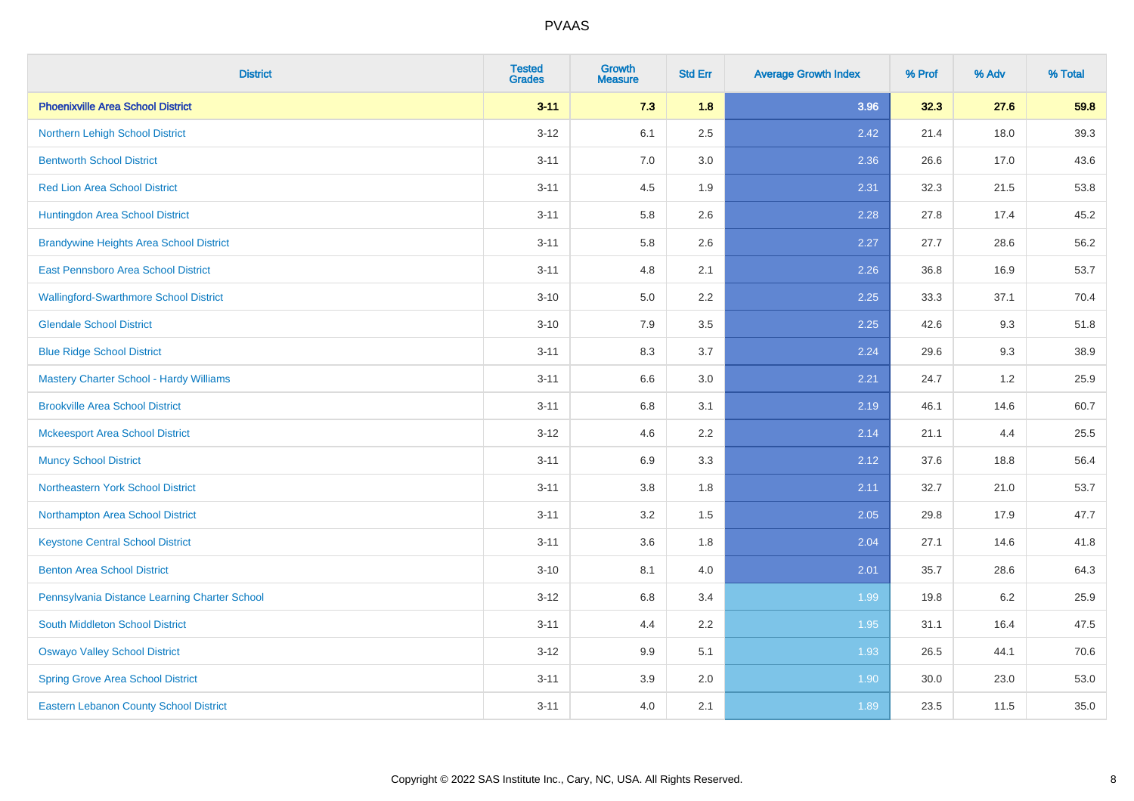| <b>District</b>                                | <b>Tested</b><br><b>Grades</b> | <b>Growth</b><br><b>Measure</b> | <b>Std Err</b> | <b>Average Growth Index</b> | % Prof | % Adv | % Total |
|------------------------------------------------|--------------------------------|---------------------------------|----------------|-----------------------------|--------|-------|---------|
| <b>Phoenixville Area School District</b>       | $3 - 11$                       | 7.3                             | 1.8            | 3.96                        | 32.3   | 27.6  | 59.8    |
| Northern Lehigh School District                | $3 - 12$                       | 6.1                             | 2.5            | 2.42                        | 21.4   | 18.0  | 39.3    |
| <b>Bentworth School District</b>               | $3 - 11$                       | 7.0                             | 3.0            | 2.36                        | 26.6   | 17.0  | 43.6    |
| <b>Red Lion Area School District</b>           | $3 - 11$                       | 4.5                             | 1.9            | 2.31                        | 32.3   | 21.5  | 53.8    |
| Huntingdon Area School District                | $3 - 11$                       | 5.8                             | 2.6            | 2.28                        | 27.8   | 17.4  | 45.2    |
| <b>Brandywine Heights Area School District</b> | $3 - 11$                       | 5.8                             | 2.6            | 2.27                        | 27.7   | 28.6  | 56.2    |
| East Pennsboro Area School District            | $3 - 11$                       | 4.8                             | 2.1            | 2.26                        | 36.8   | 16.9  | 53.7    |
| <b>Wallingford-Swarthmore School District</b>  | $3 - 10$                       | 5.0                             | 2.2            | 2.25                        | 33.3   | 37.1  | 70.4    |
| <b>Glendale School District</b>                | $3 - 10$                       | 7.9                             | 3.5            | 2.25                        | 42.6   | 9.3   | 51.8    |
| <b>Blue Ridge School District</b>              | $3 - 11$                       | 8.3                             | 3.7            | 2.24                        | 29.6   | 9.3   | 38.9    |
| <b>Mastery Charter School - Hardy Williams</b> | $3 - 11$                       | 6.6                             | 3.0            | 2.21                        | 24.7   | 1.2   | 25.9    |
| <b>Brookville Area School District</b>         | $3 - 11$                       | 6.8                             | 3.1            | 2.19                        | 46.1   | 14.6  | 60.7    |
| <b>Mckeesport Area School District</b>         | $3 - 12$                       | 4.6                             | 2.2            | 2.14                        | 21.1   | 4.4   | 25.5    |
| <b>Muncy School District</b>                   | $3 - 11$                       | 6.9                             | 3.3            | 2.12                        | 37.6   | 18.8  | 56.4    |
| Northeastern York School District              | $3 - 11$                       | 3.8                             | 1.8            | 2.11                        | 32.7   | 21.0  | 53.7    |
| Northampton Area School District               | $3 - 11$                       | 3.2                             | 1.5            | 2.05                        | 29.8   | 17.9  | 47.7    |
| <b>Keystone Central School District</b>        | $3 - 11$                       | 3.6                             | 1.8            | 2.04                        | 27.1   | 14.6  | 41.8    |
| <b>Benton Area School District</b>             | $3 - 10$                       | 8.1                             | 4.0            | 2.01                        | 35.7   | 28.6  | 64.3    |
| Pennsylvania Distance Learning Charter School  | $3 - 12$                       | $6.8\,$                         | 3.4            | 1.99                        | 19.8   | 6.2   | 25.9    |
| <b>South Middleton School District</b>         | $3 - 11$                       | 4.4                             | 2.2            | 1.95                        | 31.1   | 16.4  | 47.5    |
| <b>Oswayo Valley School District</b>           | $3 - 12$                       | 9.9                             | 5.1            | 1.93                        | 26.5   | 44.1  | 70.6    |
| <b>Spring Grove Area School District</b>       | $3 - 11$                       | 3.9                             | 2.0            | 1.90                        | 30.0   | 23.0  | 53.0    |
| <b>Eastern Lebanon County School District</b>  | $3 - 11$                       | $4.0\,$                         | 2.1            | 1.89                        | 23.5   | 11.5  | 35.0    |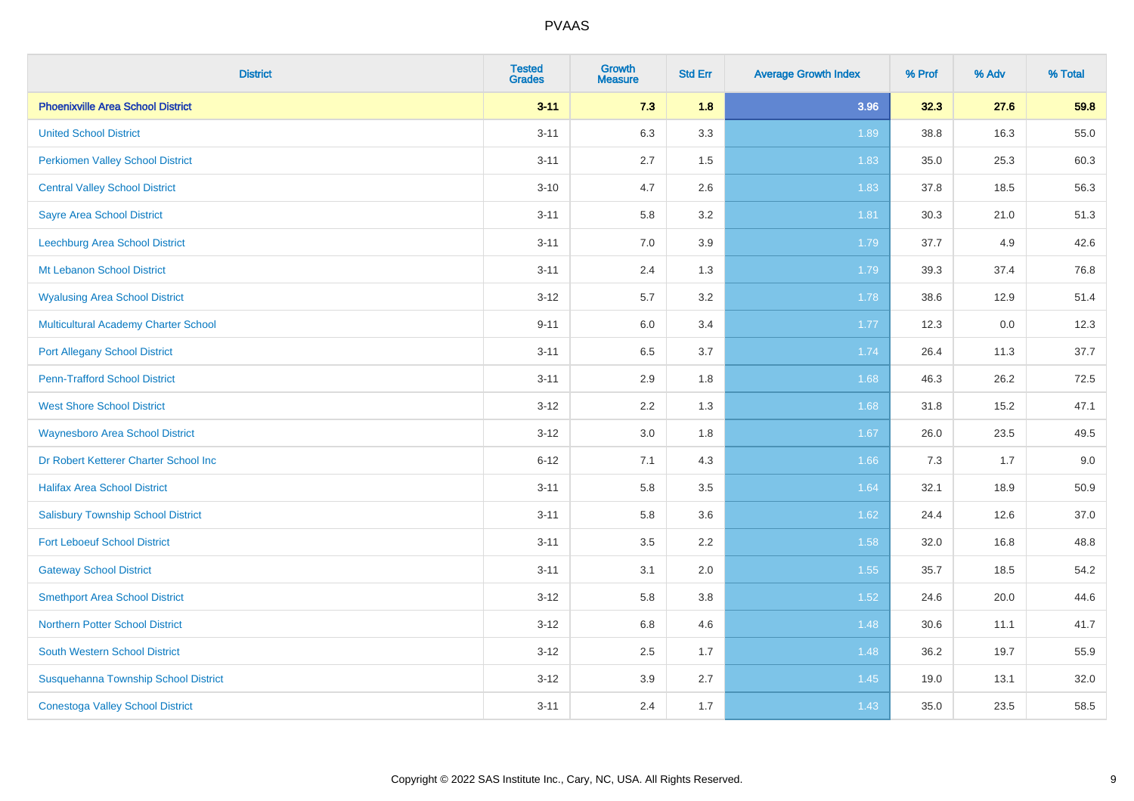| <b>District</b>                             | <b>Tested</b><br><b>Grades</b> | <b>Growth</b><br><b>Measure</b> | <b>Std Err</b> | <b>Average Growth Index</b> | % Prof | % Adv | % Total |
|---------------------------------------------|--------------------------------|---------------------------------|----------------|-----------------------------|--------|-------|---------|
| <b>Phoenixville Area School District</b>    | $3 - 11$                       | 7.3                             | 1.8            | 3.96                        | 32.3   | 27.6  | 59.8    |
| <b>United School District</b>               | $3 - 11$                       | 6.3                             | 3.3            | 1.89                        | 38.8   | 16.3  | 55.0    |
| <b>Perkiomen Valley School District</b>     | $3 - 11$                       | 2.7                             | 1.5            | 1.83                        | 35.0   | 25.3  | 60.3    |
| <b>Central Valley School District</b>       | $3 - 10$                       | 4.7                             | 2.6            | 1.83                        | 37.8   | 18.5  | 56.3    |
| <b>Sayre Area School District</b>           | $3 - 11$                       | 5.8                             | 3.2            | 1.81                        | 30.3   | 21.0  | 51.3    |
| Leechburg Area School District              | $3 - 11$                       | 7.0                             | 3.9            | 1.79                        | 37.7   | 4.9   | 42.6    |
| Mt Lebanon School District                  | $3 - 11$                       | 2.4                             | 1.3            | 1.79                        | 39.3   | 37.4  | 76.8    |
| <b>Wyalusing Area School District</b>       | $3 - 12$                       | 5.7                             | 3.2            | 1.78                        | 38.6   | 12.9  | 51.4    |
| <b>Multicultural Academy Charter School</b> | $9 - 11$                       | 6.0                             | 3.4            | 1.77                        | 12.3   | 0.0   | 12.3    |
| <b>Port Allegany School District</b>        | $3 - 11$                       | 6.5                             | 3.7            | 1.74                        | 26.4   | 11.3  | 37.7    |
| <b>Penn-Trafford School District</b>        | $3 - 11$                       | 2.9                             | 1.8            | 1.68                        | 46.3   | 26.2  | 72.5    |
| <b>West Shore School District</b>           | $3 - 12$                       | 2.2                             | 1.3            | 1.68                        | 31.8   | 15.2  | 47.1    |
| <b>Waynesboro Area School District</b>      | $3 - 12$                       | $3.0\,$                         | 1.8            | 1.67                        | 26.0   | 23.5  | 49.5    |
| Dr Robert Ketterer Charter School Inc       | $6 - 12$                       | 7.1                             | 4.3            | 1.66                        | 7.3    | 1.7   | 9.0     |
| <b>Halifax Area School District</b>         | $3 - 11$                       | 5.8                             | 3.5            | 1.64                        | 32.1   | 18.9  | 50.9    |
| <b>Salisbury Township School District</b>   | $3 - 11$                       | 5.8                             | 3.6            | 1.62                        | 24.4   | 12.6  | 37.0    |
| <b>Fort Leboeuf School District</b>         | $3 - 11$                       | 3.5                             | 2.2            | 1.58                        | 32.0   | 16.8  | 48.8    |
| <b>Gateway School District</b>              | $3 - 11$                       | 3.1                             | 2.0            | 1.55                        | 35.7   | 18.5  | 54.2    |
| <b>Smethport Area School District</b>       | $3 - 12$                       | 5.8                             | 3.8            | 1.52                        | 24.6   | 20.0  | 44.6    |
| <b>Northern Potter School District</b>      | $3 - 12$                       | $6.8\,$                         | 4.6            | 1.48                        | 30.6   | 11.1  | 41.7    |
| South Western School District               | $3 - 12$                       | 2.5                             | 1.7            | 1.48                        | 36.2   | 19.7  | 55.9    |
| Susquehanna Township School District        | $3 - 12$                       | 3.9                             | 2.7            | 1.45                        | 19.0   | 13.1  | 32.0    |
| <b>Conestoga Valley School District</b>     | $3 - 11$                       | 2.4                             | 1.7            | 1.43                        | 35.0   | 23.5  | 58.5    |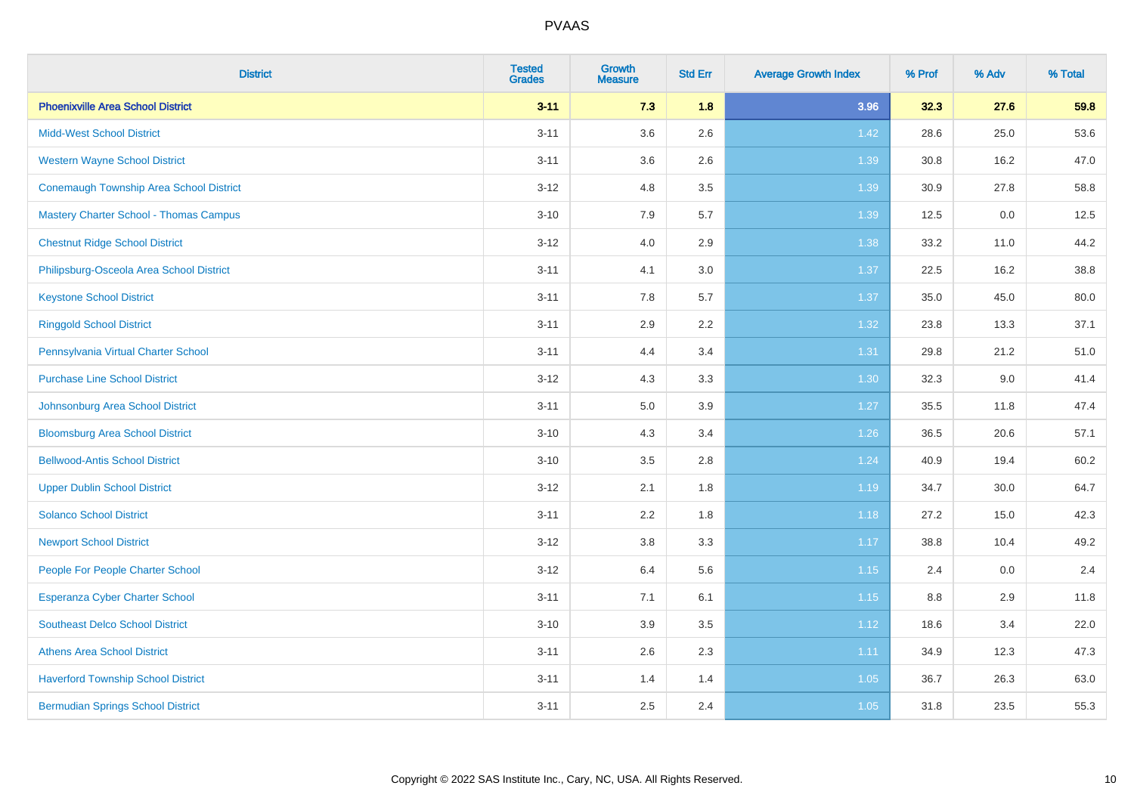| <b>District</b>                                | <b>Tested</b><br><b>Grades</b> | <b>Growth</b><br><b>Measure</b> | <b>Std Err</b> | <b>Average Growth Index</b> | % Prof | % Adv | % Total |
|------------------------------------------------|--------------------------------|---------------------------------|----------------|-----------------------------|--------|-------|---------|
| <b>Phoenixville Area School District</b>       | $3 - 11$                       | 7.3                             | 1.8            | 3.96                        | 32.3   | 27.6  | 59.8    |
| <b>Midd-West School District</b>               | $3 - 11$                       | 3.6                             | 2.6            | 1.42                        | 28.6   | 25.0  | 53.6    |
| <b>Western Wayne School District</b>           | $3 - 11$                       | 3.6                             | 2.6            | 1.39                        | 30.8   | 16.2  | 47.0    |
| <b>Conemaugh Township Area School District</b> | $3 - 12$                       | 4.8                             | 3.5            | 1.39                        | 30.9   | 27.8  | 58.8    |
| <b>Mastery Charter School - Thomas Campus</b>  | $3 - 10$                       | 7.9                             | 5.7            | 1.39                        | 12.5   | 0.0   | 12.5    |
| <b>Chestnut Ridge School District</b>          | $3 - 12$                       | 4.0                             | 2.9            | 1.38                        | 33.2   | 11.0  | 44.2    |
| Philipsburg-Osceola Area School District       | $3 - 11$                       | 4.1                             | 3.0            | 1.37                        | 22.5   | 16.2  | 38.8    |
| <b>Keystone School District</b>                | $3 - 11$                       | 7.8                             | 5.7            | 1.37                        | 35.0   | 45.0  | 80.0    |
| <b>Ringgold School District</b>                | $3 - 11$                       | 2.9                             | 2.2            | 1.32                        | 23.8   | 13.3  | 37.1    |
| Pennsylvania Virtual Charter School            | $3 - 11$                       | 4.4                             | 3.4            | 1.31                        | 29.8   | 21.2  | 51.0    |
| <b>Purchase Line School District</b>           | $3 - 12$                       | 4.3                             | 3.3            | 1.30                        | 32.3   | 9.0   | 41.4    |
| Johnsonburg Area School District               | $3 - 11$                       | $5.0\,$                         | 3.9            | 1.27                        | 35.5   | 11.8  | 47.4    |
| <b>Bloomsburg Area School District</b>         | $3 - 10$                       | 4.3                             | 3.4            | $1.26$                      | 36.5   | 20.6  | 57.1    |
| <b>Bellwood-Antis School District</b>          | $3 - 10$                       | 3.5                             | 2.8            | 1.24                        | 40.9   | 19.4  | 60.2    |
| <b>Upper Dublin School District</b>            | $3 - 12$                       | 2.1                             | 1.8            | 1.19                        | 34.7   | 30.0  | 64.7    |
| <b>Solanco School District</b>                 | $3 - 11$                       | 2.2                             | 1.8            | 1.18                        | 27.2   | 15.0  | 42.3    |
| <b>Newport School District</b>                 | $3 - 12$                       | 3.8                             | 3.3            | 1.17                        | 38.8   | 10.4  | 49.2    |
| People For People Charter School               | $3 - 12$                       | 6.4                             | 5.6            | 1.15                        | 2.4    | 0.0   | 2.4     |
| <b>Esperanza Cyber Charter School</b>          | $3 - 11$                       | 7.1                             | 6.1            | 1.15                        | 8.8    | 2.9   | 11.8    |
| <b>Southeast Delco School District</b>         | $3 - 10$                       | 3.9                             | 3.5            | 1.12                        | 18.6   | 3.4   | 22.0    |
| <b>Athens Area School District</b>             | $3 - 11$                       | 2.6                             | 2.3            | 1.11                        | 34.9   | 12.3  | 47.3    |
| <b>Haverford Township School District</b>      | $3 - 11$                       | 1.4                             | 1.4            | 1.05                        | 36.7   | 26.3  | 63.0    |
| <b>Bermudian Springs School District</b>       | $3 - 11$                       | 2.5                             | 2.4            | 1.05                        | 31.8   | 23.5  | 55.3    |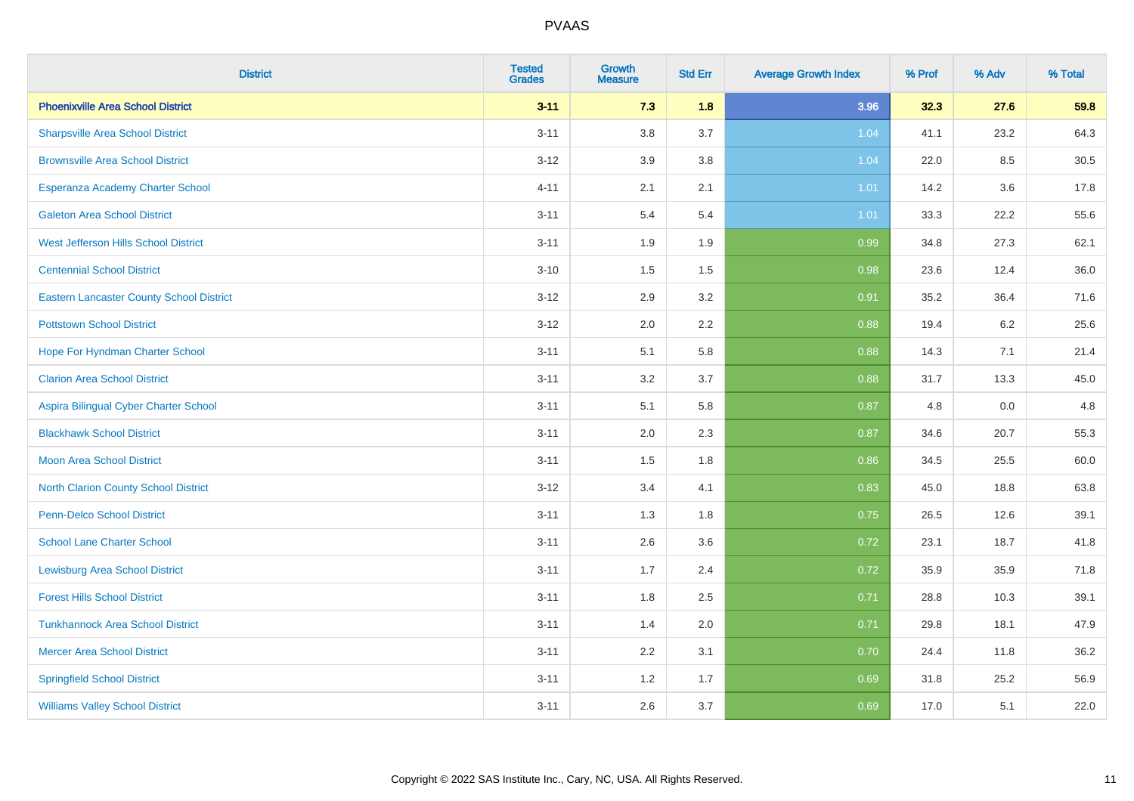| <b>District</b>                                 | <b>Tested</b><br><b>Grades</b> | <b>Growth</b><br><b>Measure</b> | <b>Std Err</b> | <b>Average Growth Index</b> | % Prof | % Adv | % Total |
|-------------------------------------------------|--------------------------------|---------------------------------|----------------|-----------------------------|--------|-------|---------|
| <b>Phoenixville Area School District</b>        | $3 - 11$                       | 7.3                             | 1.8            | 3.96                        | 32.3   | 27.6  | 59.8    |
| <b>Sharpsville Area School District</b>         | $3 - 11$                       | 3.8                             | 3.7            | 1.04                        | 41.1   | 23.2  | 64.3    |
| <b>Brownsville Area School District</b>         | $3 - 12$                       | 3.9                             | 3.8            | 1.04                        | 22.0   | 8.5   | 30.5    |
| Esperanza Academy Charter School                | $4 - 11$                       | 2.1                             | 2.1            | 1.01                        | 14.2   | 3.6   | 17.8    |
| <b>Galeton Area School District</b>             | $3 - 11$                       | 5.4                             | 5.4            | $1.01$                      | 33.3   | 22.2  | 55.6    |
| <b>West Jefferson Hills School District</b>     | $3 - 11$                       | 1.9                             | 1.9            | 0.99                        | 34.8   | 27.3  | 62.1    |
| <b>Centennial School District</b>               | $3 - 10$                       | 1.5                             | 1.5            | 0.98                        | 23.6   | 12.4  | 36.0    |
| <b>Eastern Lancaster County School District</b> | $3 - 12$                       | 2.9                             | 3.2            | 0.91                        | 35.2   | 36.4  | 71.6    |
| <b>Pottstown School District</b>                | $3 - 12$                       | 2.0                             | 2.2            | 0.88                        | 19.4   | 6.2   | 25.6    |
| Hope For Hyndman Charter School                 | $3 - 11$                       | 5.1                             | 5.8            | 0.88                        | 14.3   | 7.1   | 21.4    |
| <b>Clarion Area School District</b>             | $3 - 11$                       | 3.2                             | 3.7            | 0.88                        | 31.7   | 13.3  | 45.0    |
| Aspira Bilingual Cyber Charter School           | $3 - 11$                       | 5.1                             | 5.8            | 0.87                        | 4.8    | 0.0   | 4.8     |
| <b>Blackhawk School District</b>                | $3 - 11$                       | 2.0                             | 2.3            | 0.87                        | 34.6   | 20.7  | 55.3    |
| <b>Moon Area School District</b>                | $3 - 11$                       | 1.5                             | 1.8            | 0.86                        | 34.5   | 25.5  | 60.0    |
| <b>North Clarion County School District</b>     | $3 - 12$                       | 3.4                             | 4.1            | 0.83                        | 45.0   | 18.8  | 63.8    |
| <b>Penn-Delco School District</b>               | $3 - 11$                       | 1.3                             | 1.8            | 0.75                        | 26.5   | 12.6  | 39.1    |
| <b>School Lane Charter School</b>               | $3 - 11$                       | 2.6                             | 3.6            | 0.72                        | 23.1   | 18.7  | 41.8    |
| <b>Lewisburg Area School District</b>           | $3 - 11$                       | 1.7                             | 2.4            | 0.72                        | 35.9   | 35.9  | 71.8    |
| <b>Forest Hills School District</b>             | $3 - 11$                       | 1.8                             | 2.5            | 0.71                        | 28.8   | 10.3  | 39.1    |
| <b>Tunkhannock Area School District</b>         | $3 - 11$                       | 1.4                             | 2.0            | 0.71                        | 29.8   | 18.1  | 47.9    |
| <b>Mercer Area School District</b>              | $3 - 11$                       | $2.2\,$                         | 3.1            | 0.70                        | 24.4   | 11.8  | 36.2    |
| <b>Springfield School District</b>              | $3 - 11$                       | 1.2                             | 1.7            | 0.69                        | 31.8   | 25.2  | 56.9    |
| <b>Williams Valley School District</b>          | $3 - 11$                       | 2.6                             | 3.7            | 0.69                        | 17.0   | 5.1   | 22.0    |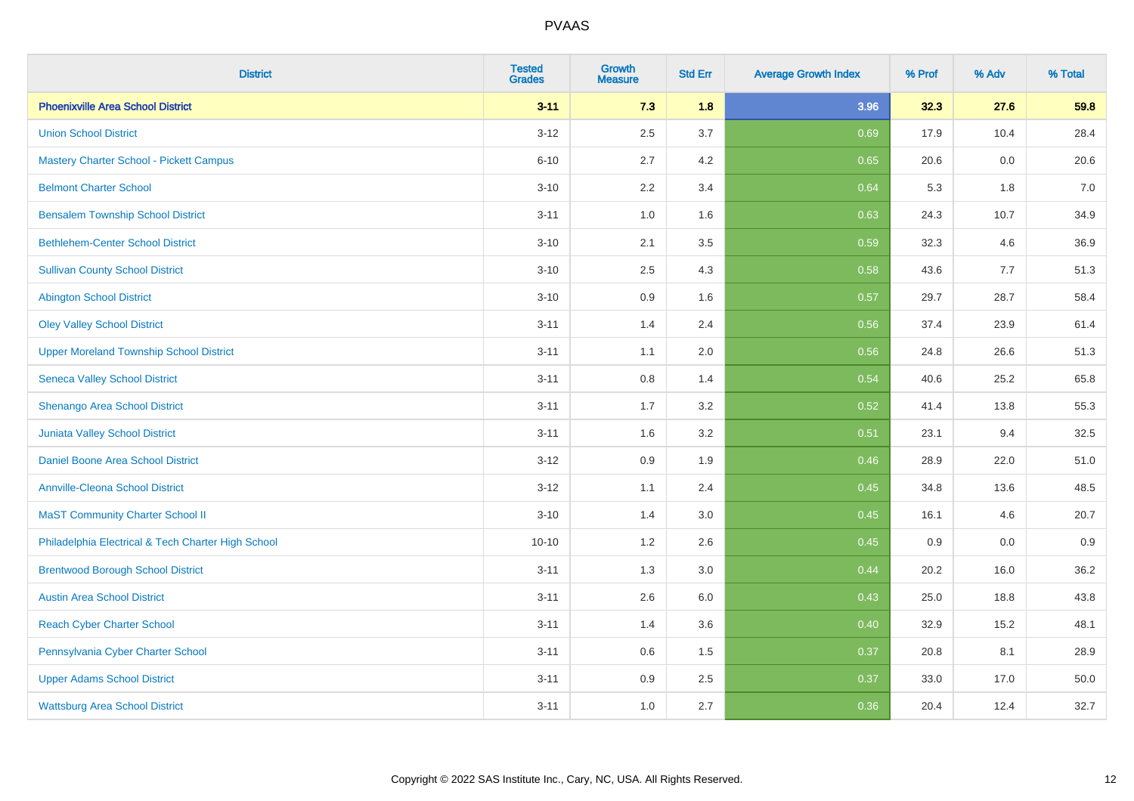| <b>District</b>                                    | <b>Tested</b><br><b>Grades</b> | <b>Growth</b><br><b>Measure</b> | <b>Std Err</b> | <b>Average Growth Index</b> | % Prof | % Adv | % Total |
|----------------------------------------------------|--------------------------------|---------------------------------|----------------|-----------------------------|--------|-------|---------|
| <b>Phoenixville Area School District</b>           | $3 - 11$                       | 7.3                             | 1.8            | 3.96                        | 32.3   | 27.6  | 59.8    |
| <b>Union School District</b>                       | $3 - 12$                       | 2.5                             | 3.7            | 0.69                        | 17.9   | 10.4  | 28.4    |
| <b>Mastery Charter School - Pickett Campus</b>     | $6 - 10$                       | 2.7                             | 4.2            | 0.65                        | 20.6   | 0.0   | 20.6    |
| <b>Belmont Charter School</b>                      | $3 - 10$                       | 2.2                             | 3.4            | 0.64                        | 5.3    | 1.8   | $7.0\,$ |
| <b>Bensalem Township School District</b>           | $3 - 11$                       | 1.0                             | 1.6            | 0.63                        | 24.3   | 10.7  | 34.9    |
| <b>Bethlehem-Center School District</b>            | $3 - 10$                       | 2.1                             | 3.5            | 0.59                        | 32.3   | 4.6   | 36.9    |
| <b>Sullivan County School District</b>             | $3 - 10$                       | 2.5                             | 4.3            | 0.58                        | 43.6   | 7.7   | 51.3    |
| <b>Abington School District</b>                    | $3 - 10$                       | 0.9                             | 1.6            | 0.57                        | 29.7   | 28.7  | 58.4    |
| <b>Oley Valley School District</b>                 | $3 - 11$                       | 1.4                             | 2.4            | 0.56                        | 37.4   | 23.9  | 61.4    |
| <b>Upper Moreland Township School District</b>     | $3 - 11$                       | 1.1                             | 2.0            | 0.56                        | 24.8   | 26.6  | 51.3    |
| <b>Seneca Valley School District</b>               | $3 - 11$                       | 0.8                             | 1.4            | 0.54                        | 40.6   | 25.2  | 65.8    |
| Shenango Area School District                      | $3 - 11$                       | 1.7                             | 3.2            | 0.52                        | 41.4   | 13.8  | 55.3    |
| Juniata Valley School District                     | $3 - 11$                       | 1.6                             | 3.2            | 0.51                        | 23.1   | 9.4   | 32.5    |
| Daniel Boone Area School District                  | $3 - 12$                       | 0.9                             | 1.9            | 0.46                        | 28.9   | 22.0  | 51.0    |
| <b>Annville-Cleona School District</b>             | $3 - 12$                       | 1.1                             | 2.4            | 0.45                        | 34.8   | 13.6  | 48.5    |
| <b>MaST Community Charter School II</b>            | $3 - 10$                       | 1.4                             | 3.0            | 0.45                        | 16.1   | 4.6   | 20.7    |
| Philadelphia Electrical & Tech Charter High School | $10 - 10$                      | 1.2                             | 2.6            | 0.45                        | 0.9    | 0.0   | 0.9     |
| <b>Brentwood Borough School District</b>           | $3 - 11$                       | 1.3                             | 3.0            | 0.44                        | 20.2   | 16.0  | 36.2    |
| <b>Austin Area School District</b>                 | $3 - 11$                       | 2.6                             | 6.0            | 0.43                        | 25.0   | 18.8  | 43.8    |
| <b>Reach Cyber Charter School</b>                  | $3 - 11$                       | 1.4                             | 3.6            | 0.40                        | 32.9   | 15.2  | 48.1    |
| Pennsylvania Cyber Charter School                  | $3 - 11$                       | 0.6                             | 1.5            | 0.37                        | 20.8   | 8.1   | 28.9    |
| <b>Upper Adams School District</b>                 | $3 - 11$                       | 0.9                             | 2.5            | 0.37                        | 33.0   | 17.0  | 50.0    |
| <b>Wattsburg Area School District</b>              | $3 - 11$                       | 1.0                             | 2.7            | 0.36                        | 20.4   | 12.4  | 32.7    |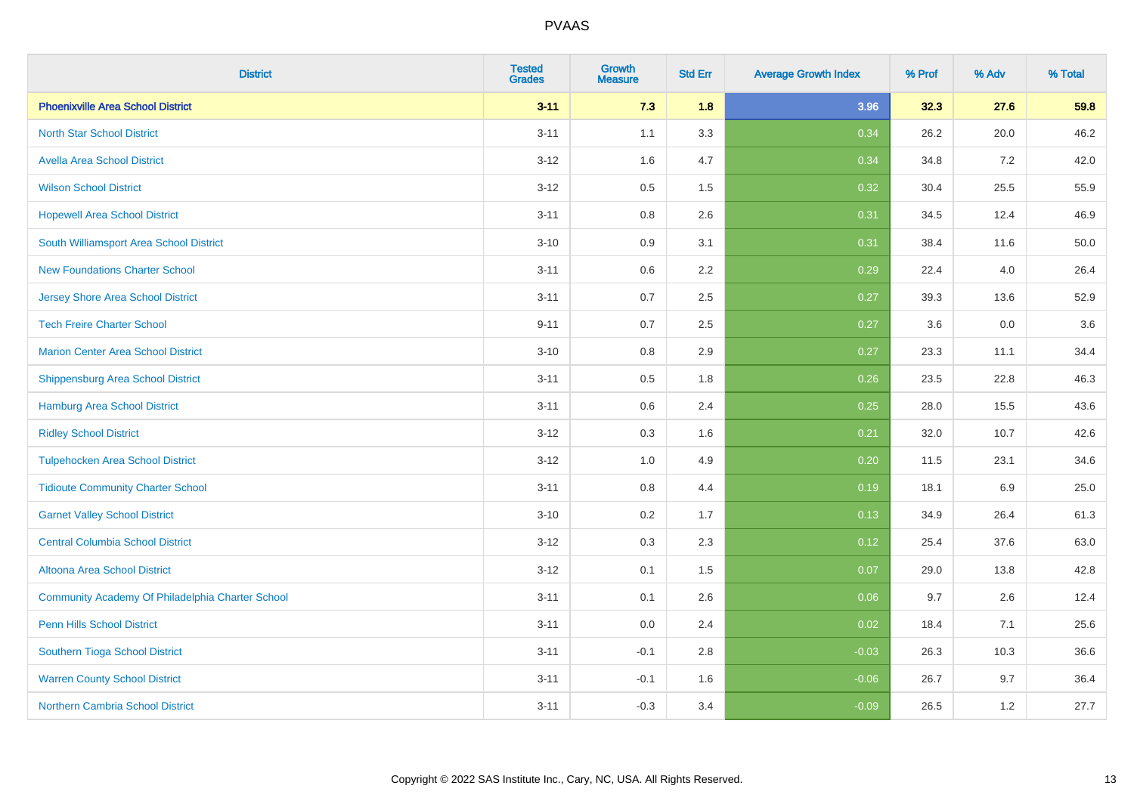| <b>District</b>                                  | <b>Tested</b><br><b>Grades</b> | <b>Growth</b><br><b>Measure</b> | <b>Std Err</b> | <b>Average Growth Index</b> | % Prof | % Adv | % Total |
|--------------------------------------------------|--------------------------------|---------------------------------|----------------|-----------------------------|--------|-------|---------|
| <b>Phoenixville Area School District</b>         | $3 - 11$                       | 7.3                             | 1.8            | 3.96                        | 32.3   | 27.6  | 59.8    |
| <b>North Star School District</b>                | $3 - 11$                       | 1.1                             | 3.3            | 0.34                        | 26.2   | 20.0  | 46.2    |
| <b>Avella Area School District</b>               | $3 - 12$                       | 1.6                             | 4.7            | 0.34                        | 34.8   | 7.2   | 42.0    |
| <b>Wilson School District</b>                    | $3 - 12$                       | 0.5                             | 1.5            | 0.32                        | 30.4   | 25.5  | 55.9    |
| <b>Hopewell Area School District</b>             | $3 - 11$                       | 0.8                             | 2.6            | 0.31                        | 34.5   | 12.4  | 46.9    |
| South Williamsport Area School District          | $3 - 10$                       | 0.9                             | 3.1            | 0.31                        | 38.4   | 11.6  | 50.0    |
| <b>New Foundations Charter School</b>            | $3 - 11$                       | 0.6                             | 2.2            | 0.29                        | 22.4   | 4.0   | 26.4    |
| <b>Jersey Shore Area School District</b>         | $3 - 11$                       | 0.7                             | 2.5            | 0.27                        | 39.3   | 13.6  | 52.9    |
| <b>Tech Freire Charter School</b>                | $9 - 11$                       | 0.7                             | 2.5            | 0.27                        | 3.6    | 0.0   | 3.6     |
| <b>Marion Center Area School District</b>        | $3 - 10$                       | 0.8                             | 2.9            | 0.27                        | 23.3   | 11.1  | 34.4    |
| <b>Shippensburg Area School District</b>         | $3 - 11$                       | 0.5                             | 1.8            | 0.26                        | 23.5   | 22.8  | 46.3    |
| <b>Hamburg Area School District</b>              | $3 - 11$                       | 0.6                             | 2.4            | 0.25                        | 28.0   | 15.5  | 43.6    |
| <b>Ridley School District</b>                    | $3 - 12$                       | 0.3                             | 1.6            | 0.21                        | 32.0   | 10.7  | 42.6    |
| <b>Tulpehocken Area School District</b>          | $3 - 12$                       | 1.0                             | 4.9            | 0.20                        | 11.5   | 23.1  | 34.6    |
| <b>Tidioute Community Charter School</b>         | $3 - 11$                       | 0.8                             | 4.4            | 0.19                        | 18.1   | 6.9   | 25.0    |
| <b>Garnet Valley School District</b>             | $3 - 10$                       | 0.2                             | 1.7            | 0.13                        | 34.9   | 26.4  | 61.3    |
| <b>Central Columbia School District</b>          | $3 - 12$                       | 0.3                             | 2.3            | 0.12                        | 25.4   | 37.6  | 63.0    |
| Altoona Area School District                     | $3 - 12$                       | 0.1                             | 1.5            | 0.07                        | 29.0   | 13.8  | 42.8    |
| Community Academy Of Philadelphia Charter School | $3 - 11$                       | 0.1                             | 2.6            | 0.06                        | 9.7    | 2.6   | 12.4    |
| Penn Hills School District                       | $3 - 11$                       | 0.0                             | 2.4            | 0.02                        | 18.4   | 7.1   | 25.6    |
| Southern Tioga School District                   | $3 - 11$                       | $-0.1$                          | 2.8            | $-0.03$                     | 26.3   | 10.3  | 36.6    |
| <b>Warren County School District</b>             | $3 - 11$                       | $-0.1$                          | 1.6            | $-0.06$                     | 26.7   | 9.7   | 36.4    |
| <b>Northern Cambria School District</b>          | $3 - 11$                       | $-0.3$                          | 3.4            | $-0.09$                     | 26.5   | 1.2   | 27.7    |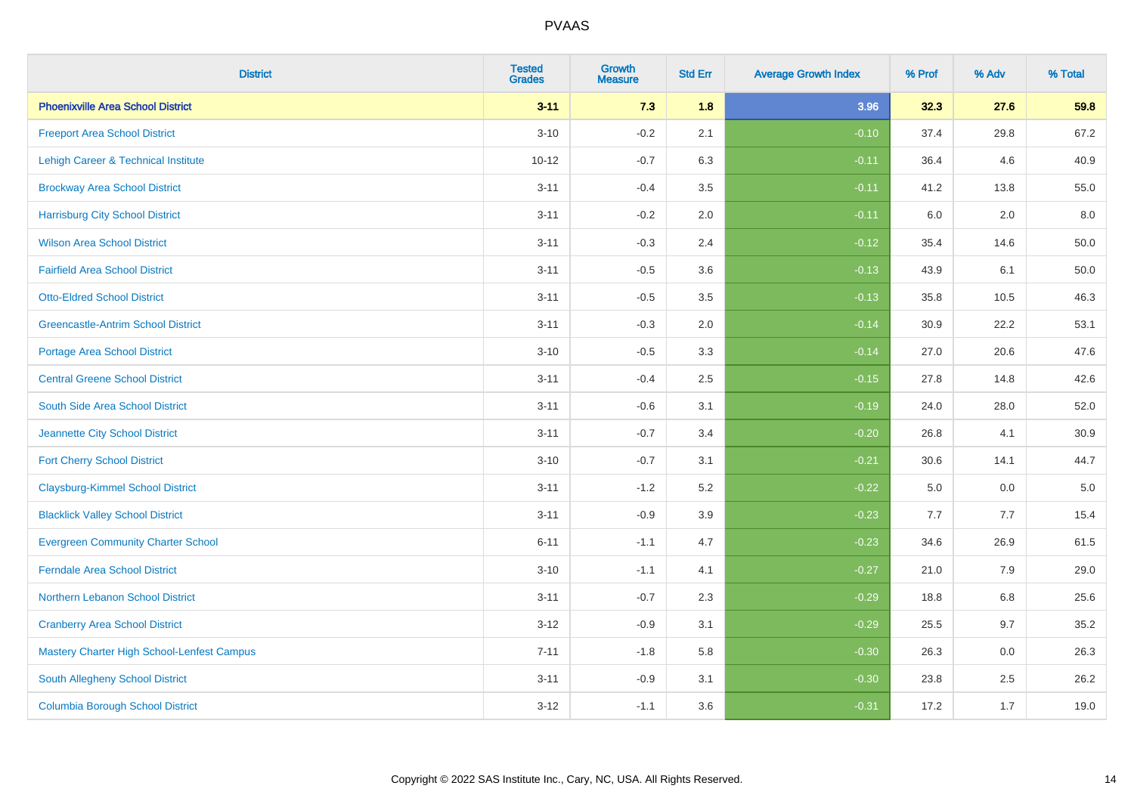| <b>District</b>                            | <b>Tested</b><br><b>Grades</b> | <b>Growth</b><br><b>Measure</b> | <b>Std Err</b> | <b>Average Growth Index</b> | % Prof | % Adv | % Total  |
|--------------------------------------------|--------------------------------|---------------------------------|----------------|-----------------------------|--------|-------|----------|
| <b>Phoenixville Area School District</b>   | $3 - 11$                       | 7.3                             | 1.8            | 3.96                        | 32.3   | 27.6  | 59.8     |
| <b>Freeport Area School District</b>       | $3 - 10$                       | $-0.2$                          | 2.1            | $-0.10$                     | 37.4   | 29.8  | 67.2     |
| Lehigh Career & Technical Institute        | $10 - 12$                      | $-0.7$                          | 6.3            | $-0.11$                     | 36.4   | 4.6   | 40.9     |
| <b>Brockway Area School District</b>       | $3 - 11$                       | $-0.4$                          | 3.5            | $-0.11$                     | 41.2   | 13.8  | 55.0     |
| <b>Harrisburg City School District</b>     | $3 - 11$                       | $-0.2$                          | 2.0            | $-0.11$                     | 6.0    | 2.0   | 8.0      |
| <b>Wilson Area School District</b>         | $3 - 11$                       | $-0.3$                          | 2.4            | $-0.12$                     | 35.4   | 14.6  | 50.0     |
| <b>Fairfield Area School District</b>      | $3 - 11$                       | $-0.5$                          | 3.6            | $-0.13$                     | 43.9   | 6.1   | $50.0\,$ |
| <b>Otto-Eldred School District</b>         | $3 - 11$                       | $-0.5$                          | 3.5            | $-0.13$                     | 35.8   | 10.5  | 46.3     |
| <b>Greencastle-Antrim School District</b>  | $3 - 11$                       | $-0.3$                          | 2.0            | $-0.14$                     | 30.9   | 22.2  | 53.1     |
| <b>Portage Area School District</b>        | $3 - 10$                       | $-0.5$                          | 3.3            | $-0.14$                     | 27.0   | 20.6  | 47.6     |
| <b>Central Greene School District</b>      | $3 - 11$                       | $-0.4$                          | 2.5            | $-0.15$                     | 27.8   | 14.8  | 42.6     |
| South Side Area School District            | $3 - 11$                       | $-0.6$                          | 3.1            | $-0.19$                     | 24.0   | 28.0  | 52.0     |
| Jeannette City School District             | $3 - 11$                       | $-0.7$                          | 3.4            | $-0.20$                     | 26.8   | 4.1   | 30.9     |
| <b>Fort Cherry School District</b>         | $3 - 10$                       | $-0.7$                          | 3.1            | $-0.21$                     | 30.6   | 14.1  | 44.7     |
| <b>Claysburg-Kimmel School District</b>    | $3 - 11$                       | $-1.2$                          | 5.2            | $-0.22$                     | 5.0    | 0.0   | $5.0\,$  |
| <b>Blacklick Valley School District</b>    | $3 - 11$                       | $-0.9$                          | 3.9            | $-0.23$                     | 7.7    | 7.7   | 15.4     |
| <b>Evergreen Community Charter School</b>  | $6 - 11$                       | $-1.1$                          | 4.7            | $-0.23$                     | 34.6   | 26.9  | 61.5     |
| <b>Ferndale Area School District</b>       | $3 - 10$                       | $-1.1$                          | 4.1            | $-0.27$                     | 21.0   | 7.9   | 29.0     |
| Northern Lebanon School District           | $3 - 11$                       | $-0.7$                          | 2.3            | $-0.29$                     | 18.8   | 6.8   | 25.6     |
| <b>Cranberry Area School District</b>      | $3 - 12$                       | $-0.9$                          | 3.1            | $-0.29$                     | 25.5   | 9.7   | 35.2     |
| Mastery Charter High School-Lenfest Campus | $7 - 11$                       | $-1.8$                          | 5.8            | $-0.30$                     | 26.3   | 0.0   | 26.3     |
| South Allegheny School District            | $3 - 11$                       | $-0.9$                          | 3.1            | $-0.30$                     | 23.8   | 2.5   | 26.2     |
| <b>Columbia Borough School District</b>    | $3 - 12$                       | $-1.1$                          | 3.6            | $-0.31$                     | 17.2   | 1.7   | 19.0     |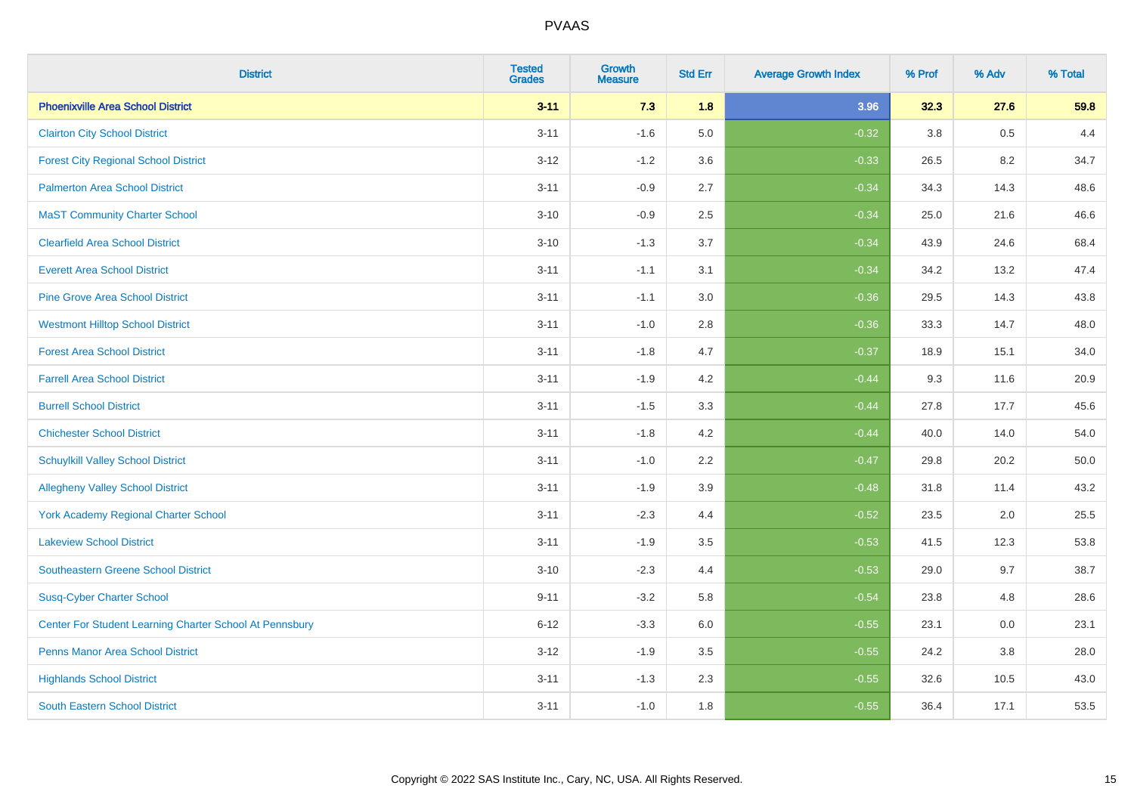| <b>District</b>                                         | <b>Tested</b><br><b>Grades</b> | Growth<br><b>Measure</b> | <b>Std Err</b> | <b>Average Growth Index</b> | % Prof | % Adv | % Total |
|---------------------------------------------------------|--------------------------------|--------------------------|----------------|-----------------------------|--------|-------|---------|
| <b>Phoenixville Area School District</b>                | $3 - 11$                       | 7.3                      | 1.8            | 3.96                        | 32.3   | 27.6  | 59.8    |
| <b>Clairton City School District</b>                    | $3 - 11$                       | $-1.6$                   | 5.0            | $-0.32$                     | 3.8    | 0.5   | 4.4     |
| <b>Forest City Regional School District</b>             | $3 - 12$                       | $-1.2$                   | 3.6            | $-0.33$                     | 26.5   | 8.2   | 34.7    |
| <b>Palmerton Area School District</b>                   | $3 - 11$                       | $-0.9$                   | 2.7            | $-0.34$                     | 34.3   | 14.3  | 48.6    |
| <b>MaST Community Charter School</b>                    | $3 - 10$                       | $-0.9$                   | 2.5            | $-0.34$                     | 25.0   | 21.6  | 46.6    |
| <b>Clearfield Area School District</b>                  | $3 - 10$                       | $-1.3$                   | 3.7            | $-0.34$                     | 43.9   | 24.6  | 68.4    |
| <b>Everett Area School District</b>                     | $3 - 11$                       | $-1.1$                   | 3.1            | $-0.34$                     | 34.2   | 13.2  | 47.4    |
| <b>Pine Grove Area School District</b>                  | $3 - 11$                       | $-1.1$                   | 3.0            | $-0.36$                     | 29.5   | 14.3  | 43.8    |
| <b>Westmont Hilltop School District</b>                 | $3 - 11$                       | $-1.0$                   | 2.8            | $-0.36$                     | 33.3   | 14.7  | 48.0    |
| <b>Forest Area School District</b>                      | $3 - 11$                       | $-1.8$                   | 4.7            | $-0.37$                     | 18.9   | 15.1  | 34.0    |
| <b>Farrell Area School District</b>                     | $3 - 11$                       | $-1.9$                   | 4.2            | $-0.44$                     | 9.3    | 11.6  | 20.9    |
| <b>Burrell School District</b>                          | $3 - 11$                       | $-1.5$                   | 3.3            | $-0.44$                     | 27.8   | 17.7  | 45.6    |
| <b>Chichester School District</b>                       | $3 - 11$                       | $-1.8$                   | 4.2            | $-0.44$                     | 40.0   | 14.0  | 54.0    |
| <b>Schuylkill Valley School District</b>                | $3 - 11$                       | $-1.0$                   | 2.2            | $-0.47$                     | 29.8   | 20.2  | 50.0    |
| <b>Allegheny Valley School District</b>                 | $3 - 11$                       | $-1.9$                   | 3.9            | $-0.48$                     | 31.8   | 11.4  | 43.2    |
| <b>York Academy Regional Charter School</b>             | $3 - 11$                       | $-2.3$                   | 4.4            | $-0.52$                     | 23.5   | 2.0   | 25.5    |
| <b>Lakeview School District</b>                         | $3 - 11$                       | $-1.9$                   | 3.5            | $-0.53$                     | 41.5   | 12.3  | 53.8    |
| Southeastern Greene School District                     | $3 - 10$                       | $-2.3$                   | 4.4            | $-0.53$                     | 29.0   | 9.7   | 38.7    |
| <b>Susq-Cyber Charter School</b>                        | $9 - 11$                       | $-3.2$                   | 5.8            | $-0.54$                     | 23.8   | 4.8   | 28.6    |
| Center For Student Learning Charter School At Pennsbury | $6 - 12$                       | $-3.3$                   | 6.0            | $-0.55$                     | 23.1   | 0.0   | 23.1    |
| <b>Penns Manor Area School District</b>                 | $3 - 12$                       | $-1.9$                   | 3.5            | $-0.55$                     | 24.2   | 3.8   | 28.0    |
| <b>Highlands School District</b>                        | $3 - 11$                       | $-1.3$                   | 2.3            | $-0.55$                     | 32.6   | 10.5  | 43.0    |
| <b>South Eastern School District</b>                    | $3 - 11$                       | $-1.0$                   | 1.8            | $-0.55$                     | 36.4   | 17.1  | 53.5    |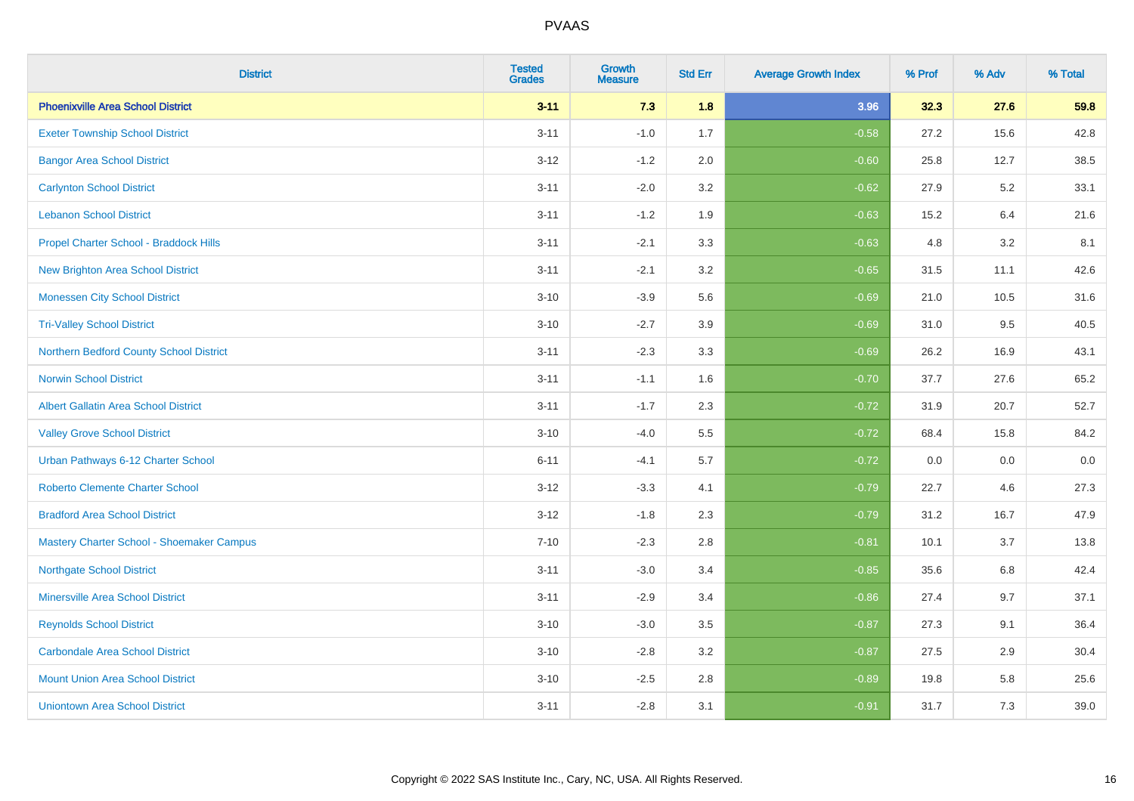| <b>District</b>                             | <b>Tested</b><br><b>Grades</b> | <b>Growth</b><br><b>Measure</b> | <b>Std Err</b> | <b>Average Growth Index</b> | % Prof | % Adv | % Total |
|---------------------------------------------|--------------------------------|---------------------------------|----------------|-----------------------------|--------|-------|---------|
| <b>Phoenixville Area School District</b>    | $3 - 11$                       | 7.3                             | 1.8            | 3.96                        | 32.3   | 27.6  | 59.8    |
| <b>Exeter Township School District</b>      | $3 - 11$                       | $-1.0$                          | 1.7            | $-0.58$                     | 27.2   | 15.6  | 42.8    |
| <b>Bangor Area School District</b>          | $3 - 12$                       | $-1.2$                          | 2.0            | $-0.60$                     | 25.8   | 12.7  | 38.5    |
| <b>Carlynton School District</b>            | $3 - 11$                       | $-2.0$                          | 3.2            | $-0.62$                     | 27.9   | 5.2   | 33.1    |
| <b>Lebanon School District</b>              | $3 - 11$                       | $-1.2$                          | 1.9            | $-0.63$                     | 15.2   | 6.4   | 21.6    |
| Propel Charter School - Braddock Hills      | $3 - 11$                       | $-2.1$                          | 3.3            | $-0.63$                     | 4.8    | 3.2   | 8.1     |
| <b>New Brighton Area School District</b>    | $3 - 11$                       | $-2.1$                          | 3.2            | $-0.65$                     | 31.5   | 11.1  | 42.6    |
| <b>Monessen City School District</b>        | $3 - 10$                       | $-3.9$                          | 5.6            | $-0.69$                     | 21.0   | 10.5  | 31.6    |
| <b>Tri-Valley School District</b>           | $3 - 10$                       | $-2.7$                          | 3.9            | $-0.69$                     | 31.0   | 9.5   | 40.5    |
| Northern Bedford County School District     | $3 - 11$                       | $-2.3$                          | 3.3            | $-0.69$                     | 26.2   | 16.9  | 43.1    |
| <b>Norwin School District</b>               | $3 - 11$                       | $-1.1$                          | 1.6            | $-0.70$                     | 37.7   | 27.6  | 65.2    |
| <b>Albert Gallatin Area School District</b> | $3 - 11$                       | $-1.7$                          | 2.3            | $-0.72$                     | 31.9   | 20.7  | 52.7    |
| <b>Valley Grove School District</b>         | $3 - 10$                       | $-4.0$                          | 5.5            | $-0.72$                     | 68.4   | 15.8  | 84.2    |
| Urban Pathways 6-12 Charter School          | $6 - 11$                       | $-4.1$                          | 5.7            | $-0.72$                     | 0.0    | 0.0   | $0.0\,$ |
| <b>Roberto Clemente Charter School</b>      | $3 - 12$                       | $-3.3$                          | 4.1            | $-0.79$                     | 22.7   | 4.6   | 27.3    |
| <b>Bradford Area School District</b>        | $3 - 12$                       | $-1.8$                          | 2.3            | $-0.79$                     | 31.2   | 16.7  | 47.9    |
| Mastery Charter School - Shoemaker Campus   | $7 - 10$                       | $-2.3$                          | 2.8            | $-0.81$                     | 10.1   | 3.7   | 13.8    |
| <b>Northgate School District</b>            | $3 - 11$                       | $-3.0$                          | 3.4            | $-0.85$                     | 35.6   | 6.8   | 42.4    |
| <b>Minersville Area School District</b>     | $3 - 11$                       | $-2.9$                          | 3.4            | $-0.86$                     | 27.4   | 9.7   | 37.1    |
| <b>Reynolds School District</b>             | $3 - 10$                       | $-3.0$                          | 3.5            | $-0.87$                     | 27.3   | 9.1   | 36.4    |
| <b>Carbondale Area School District</b>      | $3 - 10$                       | $-2.8$                          | 3.2            | $-0.87$                     | 27.5   | 2.9   | 30.4    |
| <b>Mount Union Area School District</b>     | $3 - 10$                       | $-2.5$                          | 2.8            | $-0.89$                     | 19.8   | 5.8   | 25.6    |
| <b>Uniontown Area School District</b>       | $3 - 11$                       | $-2.8$                          | 3.1            | $-0.91$                     | 31.7   | 7.3   | 39.0    |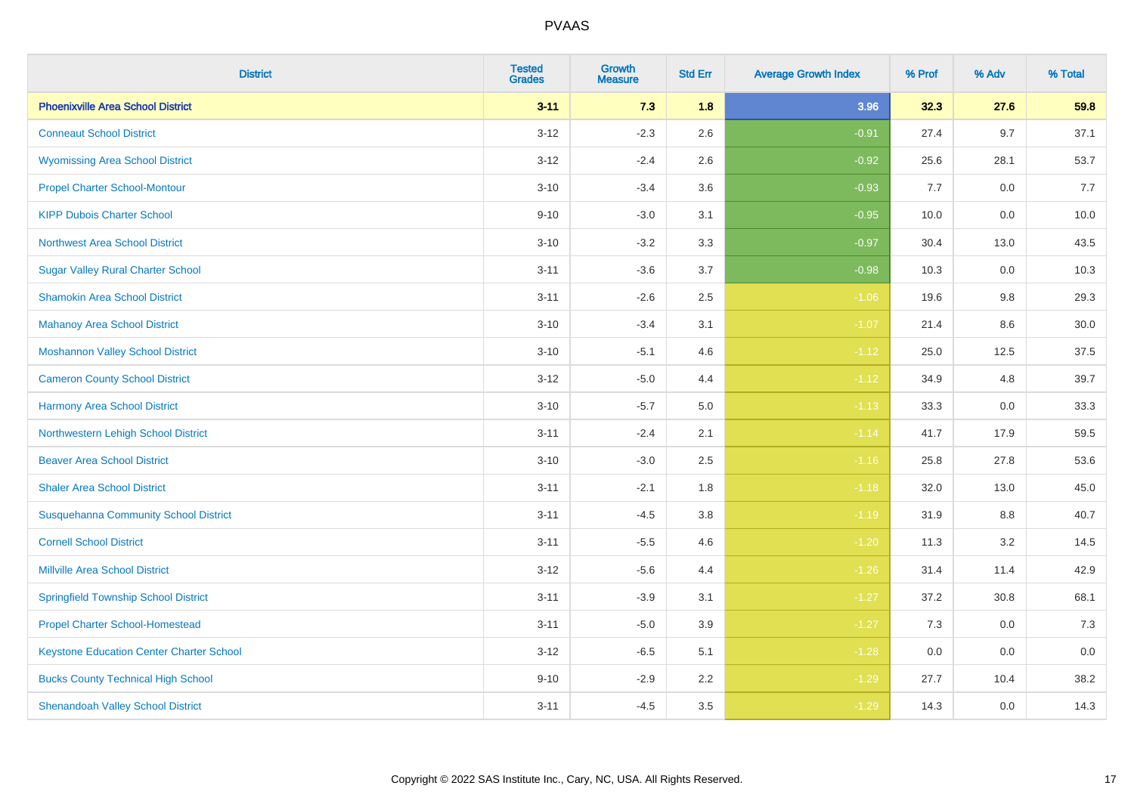| <b>District</b>                                 | <b>Tested</b><br><b>Grades</b> | <b>Growth</b><br><b>Measure</b> | <b>Std Err</b> | <b>Average Growth Index</b> | % Prof | % Adv   | % Total |
|-------------------------------------------------|--------------------------------|---------------------------------|----------------|-----------------------------|--------|---------|---------|
| <b>Phoenixville Area School District</b>        | $3 - 11$                       | 7.3                             | 1.8            | 3.96                        | 32.3   | 27.6    | 59.8    |
| <b>Conneaut School District</b>                 | $3 - 12$                       | $-2.3$                          | 2.6            | $-0.91$                     | 27.4   | 9.7     | 37.1    |
| <b>Wyomissing Area School District</b>          | $3 - 12$                       | $-2.4$                          | 2.6            | $-0.92$                     | 25.6   | 28.1    | 53.7    |
| <b>Propel Charter School-Montour</b>            | $3 - 10$                       | $-3.4$                          | 3.6            | $-0.93$                     | 7.7    | $0.0\,$ | 7.7     |
| <b>KIPP Dubois Charter School</b>               | $9 - 10$                       | $-3.0$                          | 3.1            | $-0.95$                     | 10.0   | 0.0     | 10.0    |
| <b>Northwest Area School District</b>           | $3 - 10$                       | $-3.2$                          | 3.3            | $-0.97$                     | 30.4   | 13.0    | 43.5    |
| <b>Sugar Valley Rural Charter School</b>        | $3 - 11$                       | $-3.6$                          | 3.7            | $-0.98$                     | 10.3   | 0.0     | 10.3    |
| <b>Shamokin Area School District</b>            | $3 - 11$                       | $-2.6$                          | 2.5            | $-1.06$                     | 19.6   | 9.8     | 29.3    |
| <b>Mahanoy Area School District</b>             | $3 - 10$                       | $-3.4$                          | 3.1            | $-1.07$                     | 21.4   | 8.6     | 30.0    |
| <b>Moshannon Valley School District</b>         | $3 - 10$                       | $-5.1$                          | 4.6            | $-1.12$                     | 25.0   | 12.5    | 37.5    |
| <b>Cameron County School District</b>           | $3-12$                         | $-5.0$                          | 4.4            | $-1.12$                     | 34.9   | 4.8     | 39.7    |
| <b>Harmony Area School District</b>             | $3 - 10$                       | $-5.7$                          | $5.0\,$        | $-1.13$                     | 33.3   | 0.0     | 33.3    |
| Northwestern Lehigh School District             | $3 - 11$                       | $-2.4$                          | 2.1            | $-1.14$                     | 41.7   | 17.9    | 59.5    |
| <b>Beaver Area School District</b>              | $3 - 10$                       | $-3.0$                          | 2.5            | $-1.16$                     | 25.8   | 27.8    | 53.6    |
| <b>Shaler Area School District</b>              | $3 - 11$                       | $-2.1$                          | 1.8            | $-1.18$                     | 32.0   | 13.0    | 45.0    |
| <b>Susquehanna Community School District</b>    | $3 - 11$                       | $-4.5$                          | 3.8            | $-1.19$                     | 31.9   | $8.8\,$ | 40.7    |
| <b>Cornell School District</b>                  | $3 - 11$                       | $-5.5$                          | 4.6            | $-1.20$                     | 11.3   | $3.2\,$ | 14.5    |
| <b>Millville Area School District</b>           | $3-12$                         | $-5.6$                          | 4.4            | $-1.26$                     | 31.4   | 11.4    | 42.9    |
| <b>Springfield Township School District</b>     | $3 - 11$                       | $-3.9$                          | 3.1            | $-1.27$                     | 37.2   | 30.8    | 68.1    |
| <b>Propel Charter School-Homestead</b>          | $3 - 11$                       | $-5.0$                          | 3.9            | $-1.27$                     | 7.3    | 0.0     | 7.3     |
| <b>Keystone Education Center Charter School</b> | $3 - 12$                       | $-6.5$                          | 5.1            | $-1.28$                     | 0.0    | 0.0     | 0.0     |
| <b>Bucks County Technical High School</b>       | $9 - 10$                       | $-2.9$                          | 2.2            | $-1.29$                     | 27.7   | 10.4    | 38.2    |
| <b>Shenandoah Valley School District</b>        | $3 - 11$                       | $-4.5$                          | 3.5            | $-1.29$                     | 14.3   | 0.0     | 14.3    |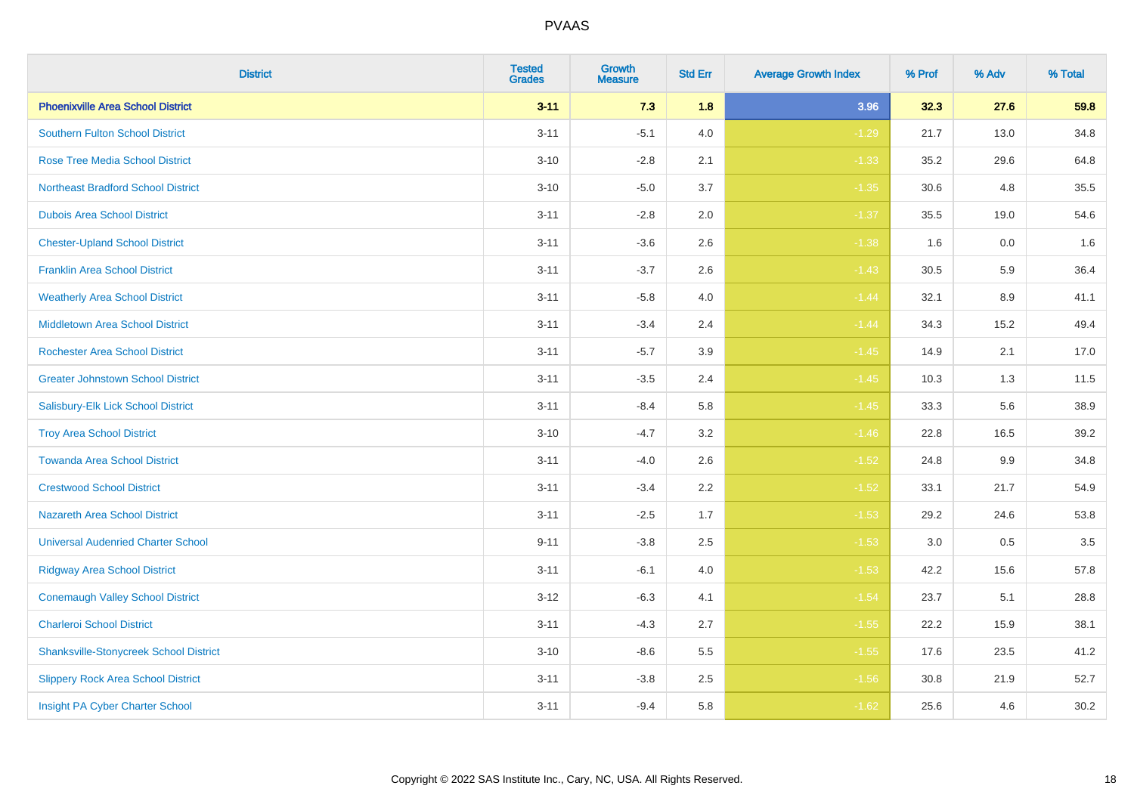| <b>District</b>                               | <b>Tested</b><br><b>Grades</b> | <b>Growth</b><br><b>Measure</b> | <b>Std Err</b> | <b>Average Growth Index</b> | % Prof | % Adv | % Total |
|-----------------------------------------------|--------------------------------|---------------------------------|----------------|-----------------------------|--------|-------|---------|
| <b>Phoenixville Area School District</b>      | $3 - 11$                       | 7.3                             | 1.8            | 3.96                        | 32.3   | 27.6  | 59.8    |
| Southern Fulton School District               | $3 - 11$                       | $-5.1$                          | 4.0            | $-1.29$                     | 21.7   | 13.0  | 34.8    |
| <b>Rose Tree Media School District</b>        | $3 - 10$                       | $-2.8$                          | 2.1            | $-1.33$                     | 35.2   | 29.6  | 64.8    |
| <b>Northeast Bradford School District</b>     | $3 - 10$                       | $-5.0$                          | 3.7            | $-1.35$                     | 30.6   | 4.8   | 35.5    |
| <b>Dubois Area School District</b>            | $3 - 11$                       | $-2.8$                          | 2.0            | $-1.37$                     | 35.5   | 19.0  | 54.6    |
| <b>Chester-Upland School District</b>         | $3 - 11$                       | $-3.6$                          | 2.6            | $-1.38$                     | 1.6    | 0.0   | 1.6     |
| <b>Franklin Area School District</b>          | $3 - 11$                       | $-3.7$                          | 2.6            | $-1.43$                     | 30.5   | 5.9   | 36.4    |
| <b>Weatherly Area School District</b>         | $3 - 11$                       | $-5.8$                          | 4.0            | $-1.44$                     | 32.1   | 8.9   | 41.1    |
| <b>Middletown Area School District</b>        | $3 - 11$                       | $-3.4$                          | 2.4            | $-1.44$                     | 34.3   | 15.2  | 49.4    |
| <b>Rochester Area School District</b>         | $3 - 11$                       | $-5.7$                          | 3.9            | $-1.45$                     | 14.9   | 2.1   | 17.0    |
| <b>Greater Johnstown School District</b>      | $3 - 11$                       | $-3.5$                          | 2.4            | $-1.45$                     | 10.3   | 1.3   | 11.5    |
| Salisbury-Elk Lick School District            | $3 - 11$                       | $-8.4$                          | 5.8            | $-1.45$                     | 33.3   | 5.6   | 38.9    |
| <b>Troy Area School District</b>              | $3 - 10$                       | $-4.7$                          | 3.2            | $-1.46$                     | 22.8   | 16.5  | 39.2    |
| <b>Towanda Area School District</b>           | $3 - 11$                       | $-4.0$                          | 2.6            | $-1.52$                     | 24.8   | 9.9   | 34.8    |
| <b>Crestwood School District</b>              | $3 - 11$                       | $-3.4$                          | 2.2            | $-1.52$                     | 33.1   | 21.7  | 54.9    |
| <b>Nazareth Area School District</b>          | $3 - 11$                       | $-2.5$                          | 1.7            | $-1.53$                     | 29.2   | 24.6  | 53.8    |
| <b>Universal Audenried Charter School</b>     | $9 - 11$                       | $-3.8$                          | 2.5            | $-1.53$                     | 3.0    | 0.5   | 3.5     |
| <b>Ridgway Area School District</b>           | $3 - 11$                       | $-6.1$                          | 4.0            | $-1.53$                     | 42.2   | 15.6  | 57.8    |
| <b>Conemaugh Valley School District</b>       | $3 - 12$                       | $-6.3$                          | 4.1            | $-1.54$                     | 23.7   | 5.1   | 28.8    |
| <b>Charleroi School District</b>              | $3 - 11$                       | $-4.3$                          | 2.7            | $-1.55$                     | 22.2   | 15.9  | 38.1    |
| <b>Shanksville-Stonycreek School District</b> | $3 - 10$                       | $-8.6$                          | 5.5            | $-1.55$                     | 17.6   | 23.5  | 41.2    |
| <b>Slippery Rock Area School District</b>     | $3 - 11$                       | $-3.8$                          | 2.5            | $-1.56$                     | 30.8   | 21.9  | 52.7    |
| Insight PA Cyber Charter School               | $3 - 11$                       | $-9.4$                          | 5.8            | $-1.62$                     | 25.6   | 4.6   | 30.2    |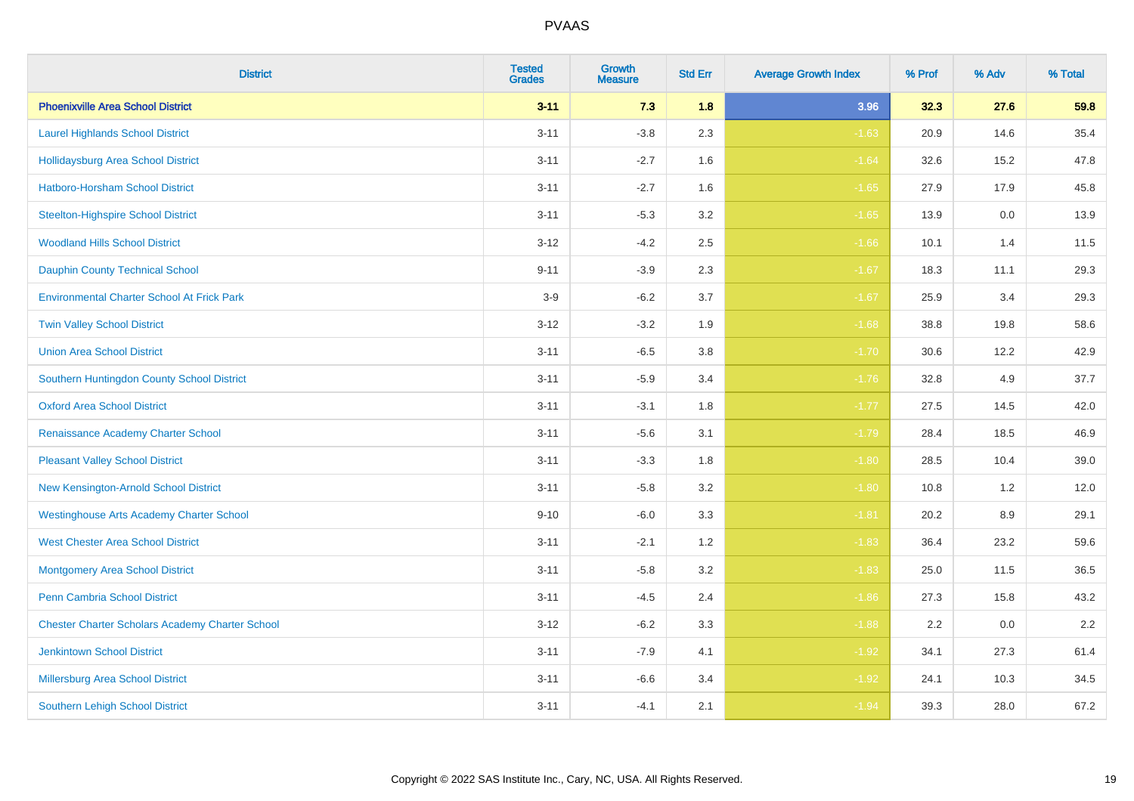| <b>District</b>                                        | <b>Tested</b><br><b>Grades</b> | Growth<br><b>Measure</b> | <b>Std Err</b> | <b>Average Growth Index</b> | % Prof | % Adv | % Total |
|--------------------------------------------------------|--------------------------------|--------------------------|----------------|-----------------------------|--------|-------|---------|
| <b>Phoenixville Area School District</b>               | $3 - 11$                       | 7.3                      | 1.8            | 3.96                        | 32.3   | 27.6  | 59.8    |
| <b>Laurel Highlands School District</b>                | $3 - 11$                       | $-3.8$                   | 2.3            | $-1.63$                     | 20.9   | 14.6  | 35.4    |
| <b>Hollidaysburg Area School District</b>              | $3 - 11$                       | $-2.7$                   | 1.6            | $-1.64$                     | 32.6   | 15.2  | 47.8    |
| Hatboro-Horsham School District                        | $3 - 11$                       | $-2.7$                   | 1.6            | $-1.65$                     | 27.9   | 17.9  | 45.8    |
| <b>Steelton-Highspire School District</b>              | $3 - 11$                       | $-5.3$                   | 3.2            | $-1.65$                     | 13.9   | 0.0   | 13.9    |
| <b>Woodland Hills School District</b>                  | $3 - 12$                       | $-4.2$                   | 2.5            | $-1.66$                     | 10.1   | 1.4   | 11.5    |
| <b>Dauphin County Technical School</b>                 | $9 - 11$                       | $-3.9$                   | 2.3            | $-1.67$                     | 18.3   | 11.1  | 29.3    |
| <b>Environmental Charter School At Frick Park</b>      | $3-9$                          | $-6.2$                   | 3.7            | $-1.67$                     | 25.9   | 3.4   | 29.3    |
| <b>Twin Valley School District</b>                     | $3 - 12$                       | $-3.2$                   | 1.9            | $-1.68$                     | 38.8   | 19.8  | 58.6    |
| <b>Union Area School District</b>                      | $3 - 11$                       | $-6.5$                   | 3.8            | $-1.70$                     | 30.6   | 12.2  | 42.9    |
| Southern Huntingdon County School District             | $3 - 11$                       | $-5.9$                   | 3.4            | $-1.76$                     | 32.8   | 4.9   | 37.7    |
| <b>Oxford Area School District</b>                     | $3 - 11$                       | $-3.1$                   | 1.8            | $-1.77$                     | 27.5   | 14.5  | 42.0    |
| Renaissance Academy Charter School                     | $3 - 11$                       | $-5.6$                   | 3.1            | $-1.79$                     | 28.4   | 18.5  | 46.9    |
| <b>Pleasant Valley School District</b>                 | $3 - 11$                       | $-3.3$                   | 1.8            | $-1.80$                     | 28.5   | 10.4  | 39.0    |
| New Kensington-Arnold School District                  | $3 - 11$                       | $-5.8$                   | 3.2            | $-1.80$                     | 10.8   | 1.2   | 12.0    |
| <b>Westinghouse Arts Academy Charter School</b>        | $9 - 10$                       | $-6.0$                   | 3.3            | $-1.81$                     | 20.2   | 8.9   | 29.1    |
| <b>West Chester Area School District</b>               | $3 - 11$                       | $-2.1$                   | 1.2            | $-1.83$                     | 36.4   | 23.2  | 59.6    |
| <b>Montgomery Area School District</b>                 | $3 - 11$                       | $-5.8$                   | 3.2            | $-1.83$                     | 25.0   | 11.5  | 36.5    |
| <b>Penn Cambria School District</b>                    | $3 - 11$                       | $-4.5$                   | 2.4            | $-1.86$                     | 27.3   | 15.8  | 43.2    |
| <b>Chester Charter Scholars Academy Charter School</b> | $3 - 12$                       | $-6.2$                   | 3.3            | $-1.88$                     | 2.2    | 0.0   | 2.2     |
| <b>Jenkintown School District</b>                      | $3 - 11$                       | $-7.9$                   | 4.1            | $-1.92$                     | 34.1   | 27.3  | 61.4    |
| Millersburg Area School District                       | $3 - 11$                       | $-6.6$                   | 3.4            | $-1.92$                     | 24.1   | 10.3  | 34.5    |
| <b>Southern Lehigh School District</b>                 | $3 - 11$                       | $-4.1$                   | 2.1            | $-1.94$                     | 39.3   | 28.0  | 67.2    |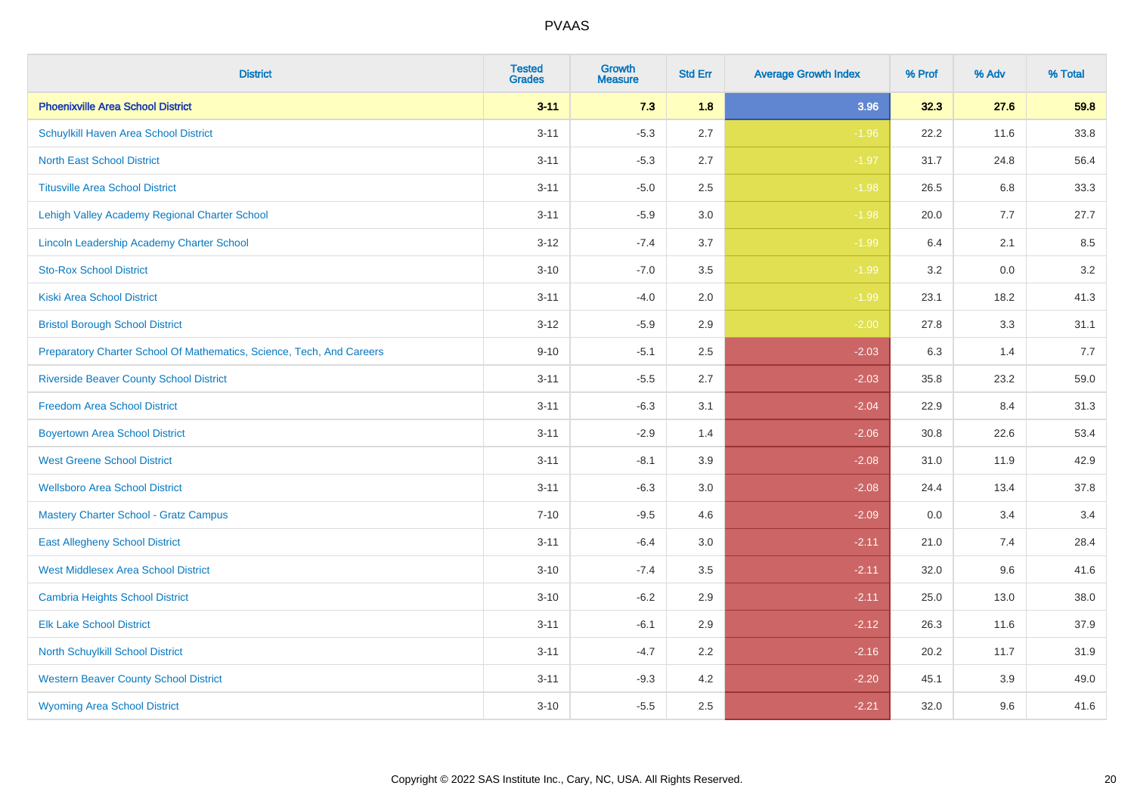| <b>District</b>                                                       | <b>Tested</b><br><b>Grades</b> | <b>Growth</b><br><b>Measure</b> | <b>Std Err</b> | <b>Average Growth Index</b> | % Prof | % Adv | % Total |
|-----------------------------------------------------------------------|--------------------------------|---------------------------------|----------------|-----------------------------|--------|-------|---------|
| <b>Phoenixville Area School District</b>                              | $3 - 11$                       | 7.3                             | 1.8            | 3.96                        | 32.3   | 27.6  | 59.8    |
| Schuylkill Haven Area School District                                 | $3 - 11$                       | $-5.3$                          | 2.7            | $-1.96$                     | 22.2   | 11.6  | 33.8    |
| <b>North East School District</b>                                     | $3 - 11$                       | $-5.3$                          | 2.7            | $-1.97$                     | 31.7   | 24.8  | 56.4    |
| <b>Titusville Area School District</b>                                | $3 - 11$                       | $-5.0$                          | 2.5            | $-1.98$                     | 26.5   | 6.8   | 33.3    |
| Lehigh Valley Academy Regional Charter School                         | $3 - 11$                       | $-5.9$                          | 3.0            | $-1.98$                     | 20.0   | 7.7   | 27.7    |
| <b>Lincoln Leadership Academy Charter School</b>                      | $3 - 12$                       | $-7.4$                          | 3.7            | $-1.99$                     | 6.4    | 2.1   | 8.5     |
| <b>Sto-Rox School District</b>                                        | $3 - 10$                       | $-7.0$                          | 3.5            | $-1.99$                     | 3.2    | 0.0   | 3.2     |
| <b>Kiski Area School District</b>                                     | $3 - 11$                       | $-4.0$                          | 2.0            | $-1.99$                     | 23.1   | 18.2  | 41.3    |
| <b>Bristol Borough School District</b>                                | $3 - 12$                       | $-5.9$                          | 2.9            | $-2.00$                     | 27.8   | 3.3   | 31.1    |
| Preparatory Charter School Of Mathematics, Science, Tech, And Careers | $9 - 10$                       | $-5.1$                          | 2.5            | $-2.03$                     | 6.3    | 1.4   | 7.7     |
| <b>Riverside Beaver County School District</b>                        | $3 - 11$                       | $-5.5$                          | 2.7            | $-2.03$                     | 35.8   | 23.2  | 59.0    |
| <b>Freedom Area School District</b>                                   | $3 - 11$                       | $-6.3$                          | 3.1            | $-2.04$                     | 22.9   | 8.4   | 31.3    |
| <b>Boyertown Area School District</b>                                 | $3 - 11$                       | $-2.9$                          | 1.4            | $-2.06$                     | 30.8   | 22.6  | 53.4    |
| <b>West Greene School District</b>                                    | $3 - 11$                       | $-8.1$                          | 3.9            | $-2.08$                     | 31.0   | 11.9  | 42.9    |
| <b>Wellsboro Area School District</b>                                 | $3 - 11$                       | $-6.3$                          | 3.0            | $-2.08$                     | 24.4   | 13.4  | 37.8    |
| <b>Mastery Charter School - Gratz Campus</b>                          | $7 - 10$                       | $-9.5$                          | 4.6            | $-2.09$                     | 0.0    | 3.4   | 3.4     |
| <b>East Allegheny School District</b>                                 | $3 - 11$                       | $-6.4$                          | 3.0            | $-2.11$                     | 21.0   | 7.4   | 28.4    |
| <b>West Middlesex Area School District</b>                            | $3 - 10$                       | $-7.4$                          | 3.5            | $-2.11$                     | 32.0   | 9.6   | 41.6    |
| <b>Cambria Heights School District</b>                                | $3 - 10$                       | $-6.2$                          | 2.9            | $-2.11$                     | 25.0   | 13.0  | 38.0    |
| <b>Elk Lake School District</b>                                       | $3 - 11$                       | $-6.1$                          | 2.9            | $-2.12$                     | 26.3   | 11.6  | 37.9    |
| <b>North Schuylkill School District</b>                               | $3 - 11$                       | $-4.7$                          | 2.2            | $-2.16$                     | 20.2   | 11.7  | 31.9    |
| <b>Western Beaver County School District</b>                          | $3 - 11$                       | $-9.3$                          | 4.2            | $-2.20$                     | 45.1   | 3.9   | 49.0    |
| <b>Wyoming Area School District</b>                                   | $3 - 10$                       | $-5.5$                          | 2.5            | $-2.21$                     | 32.0   | 9.6   | 41.6    |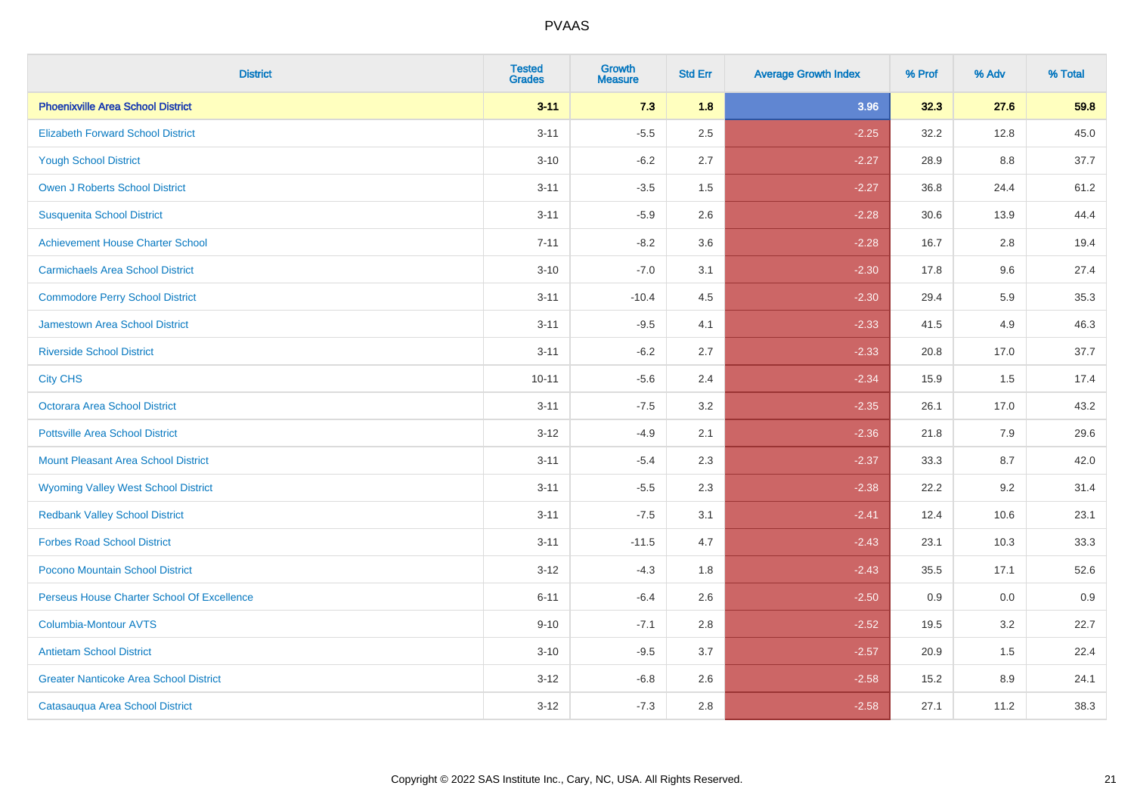| <b>District</b>                               | <b>Tested</b><br><b>Grades</b> | <b>Growth</b><br><b>Measure</b> | <b>Std Err</b> | <b>Average Growth Index</b> | % Prof | % Adv | % Total |
|-----------------------------------------------|--------------------------------|---------------------------------|----------------|-----------------------------|--------|-------|---------|
| <b>Phoenixville Area School District</b>      | $3 - 11$                       | 7.3                             | 1.8            | 3.96                        | 32.3   | 27.6  | 59.8    |
| <b>Elizabeth Forward School District</b>      | $3 - 11$                       | $-5.5$                          | 2.5            | $-2.25$                     | 32.2   | 12.8  | 45.0    |
| <b>Yough School District</b>                  | $3 - 10$                       | $-6.2$                          | 2.7            | $-2.27$                     | 28.9   | 8.8   | 37.7    |
| <b>Owen J Roberts School District</b>         | $3 - 11$                       | $-3.5$                          | 1.5            | $-2.27$                     | 36.8   | 24.4  | 61.2    |
| <b>Susquenita School District</b>             | $3 - 11$                       | $-5.9$                          | 2.6            | $-2.28$                     | 30.6   | 13.9  | 44.4    |
| <b>Achievement House Charter School</b>       | $7 - 11$                       | $-8.2$                          | 3.6            | $-2.28$                     | 16.7   | 2.8   | 19.4    |
| <b>Carmichaels Area School District</b>       | $3 - 10$                       | $-7.0$                          | 3.1            | $-2.30$                     | 17.8   | 9.6   | 27.4    |
| <b>Commodore Perry School District</b>        | $3 - 11$                       | $-10.4$                         | 4.5            | $-2.30$                     | 29.4   | 5.9   | 35.3    |
| <b>Jamestown Area School District</b>         | $3 - 11$                       | $-9.5$                          | 4.1            | $-2.33$                     | 41.5   | 4.9   | 46.3    |
| <b>Riverside School District</b>              | $3 - 11$                       | $-6.2$                          | 2.7            | $-2.33$                     | 20.8   | 17.0  | 37.7    |
| <b>City CHS</b>                               | $10 - 11$                      | $-5.6$                          | 2.4            | $-2.34$                     | 15.9   | 1.5   | 17.4    |
| Octorara Area School District                 | $3 - 11$                       | $-7.5$                          | 3.2            | $-2.35$                     | 26.1   | 17.0  | 43.2    |
| <b>Pottsville Area School District</b>        | $3 - 12$                       | $-4.9$                          | 2.1            | $-2.36$                     | 21.8   | 7.9   | 29.6    |
| <b>Mount Pleasant Area School District</b>    | $3 - 11$                       | $-5.4$                          | 2.3            | $-2.37$                     | 33.3   | 8.7   | 42.0    |
| <b>Wyoming Valley West School District</b>    | $3 - 11$                       | $-5.5$                          | 2.3            | $-2.38$                     | 22.2   | 9.2   | 31.4    |
| <b>Redbank Valley School District</b>         | $3 - 11$                       | $-7.5$                          | 3.1            | $-2.41$                     | 12.4   | 10.6  | 23.1    |
| <b>Forbes Road School District</b>            | $3 - 11$                       | $-11.5$                         | 4.7            | $-2.43$                     | 23.1   | 10.3  | 33.3    |
| Pocono Mountain School District               | $3 - 12$                       | $-4.3$                          | 1.8            | $-2.43$                     | 35.5   | 17.1  | 52.6    |
| Perseus House Charter School Of Excellence    | $6 - 11$                       | $-6.4$                          | 2.6            | $-2.50$                     | 0.9    | 0.0   | 0.9     |
| <b>Columbia-Montour AVTS</b>                  | $9 - 10$                       | $-7.1$                          | 2.8            | $-2.52$                     | 19.5   | 3.2   | 22.7    |
| <b>Antietam School District</b>               | $3 - 10$                       | $-9.5$                          | 3.7            | $-2.57$                     | 20.9   | 1.5   | 22.4    |
| <b>Greater Nanticoke Area School District</b> | $3 - 12$                       | $-6.8$                          | 2.6            | $-2.58$                     | 15.2   | 8.9   | 24.1    |
| Catasauqua Area School District               | $3 - 12$                       | $-7.3$                          | 2.8            | $-2.58$                     | 27.1   | 11.2  | 38.3    |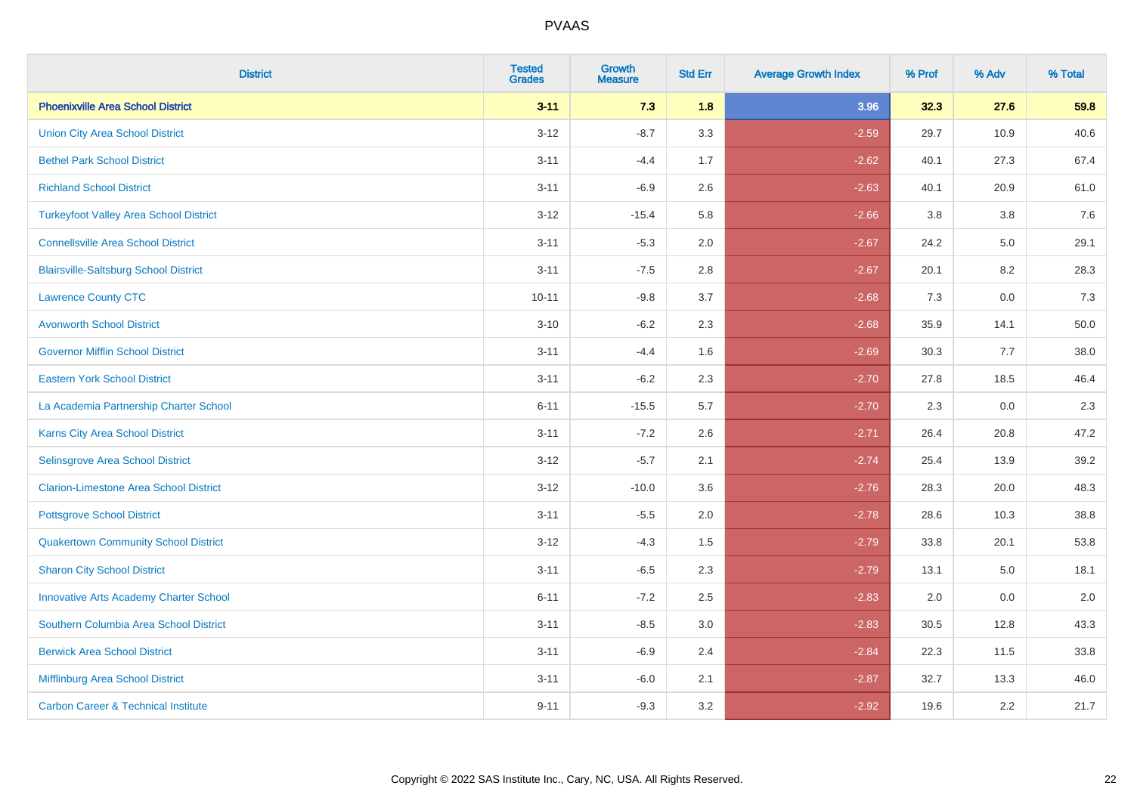| <b>District</b>                                | <b>Tested</b><br><b>Grades</b> | <b>Growth</b><br><b>Measure</b> | <b>Std Err</b> | <b>Average Growth Index</b> | % Prof | % Adv | % Total |
|------------------------------------------------|--------------------------------|---------------------------------|----------------|-----------------------------|--------|-------|---------|
| <b>Phoenixville Area School District</b>       | $3 - 11$                       | 7.3                             | 1.8            | 3.96                        | 32.3   | 27.6  | 59.8    |
| <b>Union City Area School District</b>         | $3 - 12$                       | $-8.7$                          | 3.3            | $-2.59$                     | 29.7   | 10.9  | 40.6    |
| <b>Bethel Park School District</b>             | $3 - 11$                       | $-4.4$                          | 1.7            | $-2.62$                     | 40.1   | 27.3  | 67.4    |
| <b>Richland School District</b>                | $3 - 11$                       | $-6.9$                          | 2.6            | $-2.63$                     | 40.1   | 20.9  | 61.0    |
| <b>Turkeyfoot Valley Area School District</b>  | $3 - 12$                       | $-15.4$                         | 5.8            | $-2.66$                     | 3.8    | 3.8   | 7.6     |
| <b>Connellsville Area School District</b>      | $3 - 11$                       | $-5.3$                          | 2.0            | $-2.67$                     | 24.2   | 5.0   | 29.1    |
| <b>Blairsville-Saltsburg School District</b>   | $3 - 11$                       | $-7.5$                          | 2.8            | $-2.67$                     | 20.1   | 8.2   | 28.3    |
| <b>Lawrence County CTC</b>                     | $10 - 11$                      | $-9.8$                          | 3.7            | $-2.68$                     | 7.3    | 0.0   | 7.3     |
| <b>Avonworth School District</b>               | $3 - 10$                       | $-6.2$                          | 2.3            | $-2.68$                     | 35.9   | 14.1  | 50.0    |
| <b>Governor Mifflin School District</b>        | $3 - 11$                       | $-4.4$                          | 1.6            | $-2.69$                     | 30.3   | 7.7   | 38.0    |
| <b>Eastern York School District</b>            | $3 - 11$                       | $-6.2$                          | 2.3            | $-2.70$                     | 27.8   | 18.5  | 46.4    |
| La Academia Partnership Charter School         | $6 - 11$                       | $-15.5$                         | 5.7            | $-2.70$                     | 2.3    | 0.0   | 2.3     |
| Karns City Area School District                | $3 - 11$                       | $-7.2$                          | 2.6            | $-2.71$                     | 26.4   | 20.8  | 47.2    |
| Selinsgrove Area School District               | $3 - 12$                       | $-5.7$                          | 2.1            | $-2.74$                     | 25.4   | 13.9  | 39.2    |
| <b>Clarion-Limestone Area School District</b>  | $3 - 12$                       | $-10.0$                         | 3.6            | $-2.76$                     | 28.3   | 20.0  | 48.3    |
| <b>Pottsgrove School District</b>              | $3 - 11$                       | $-5.5$                          | 2.0            | $-2.78$                     | 28.6   | 10.3  | 38.8    |
| <b>Quakertown Community School District</b>    | $3 - 12$                       | $-4.3$                          | 1.5            | $-2.79$                     | 33.8   | 20.1  | 53.8    |
| <b>Sharon City School District</b>             | $3 - 11$                       | $-6.5$                          | 2.3            | $-2.79$                     | 13.1   | 5.0   | 18.1    |
| <b>Innovative Arts Academy Charter School</b>  | $6 - 11$                       | $-7.2$                          | 2.5            | $-2.83$                     | 2.0    | 0.0   | 2.0     |
| Southern Columbia Area School District         | $3 - 11$                       | $-8.5$                          | 3.0            | $-2.83$                     | 30.5   | 12.8  | 43.3    |
| <b>Berwick Area School District</b>            | $3 - 11$                       | $-6.9$                          | 2.4            | $-2.84$                     | 22.3   | 11.5  | 33.8    |
| Mifflinburg Area School District               | $3 - 11$                       | $-6.0$                          | 2.1            | $-2.87$                     | 32.7   | 13.3  | 46.0    |
| <b>Carbon Career &amp; Technical Institute</b> | $9 - 11$                       | $-9.3$                          | 3.2            | $-2.92$                     | 19.6   | 2.2   | 21.7    |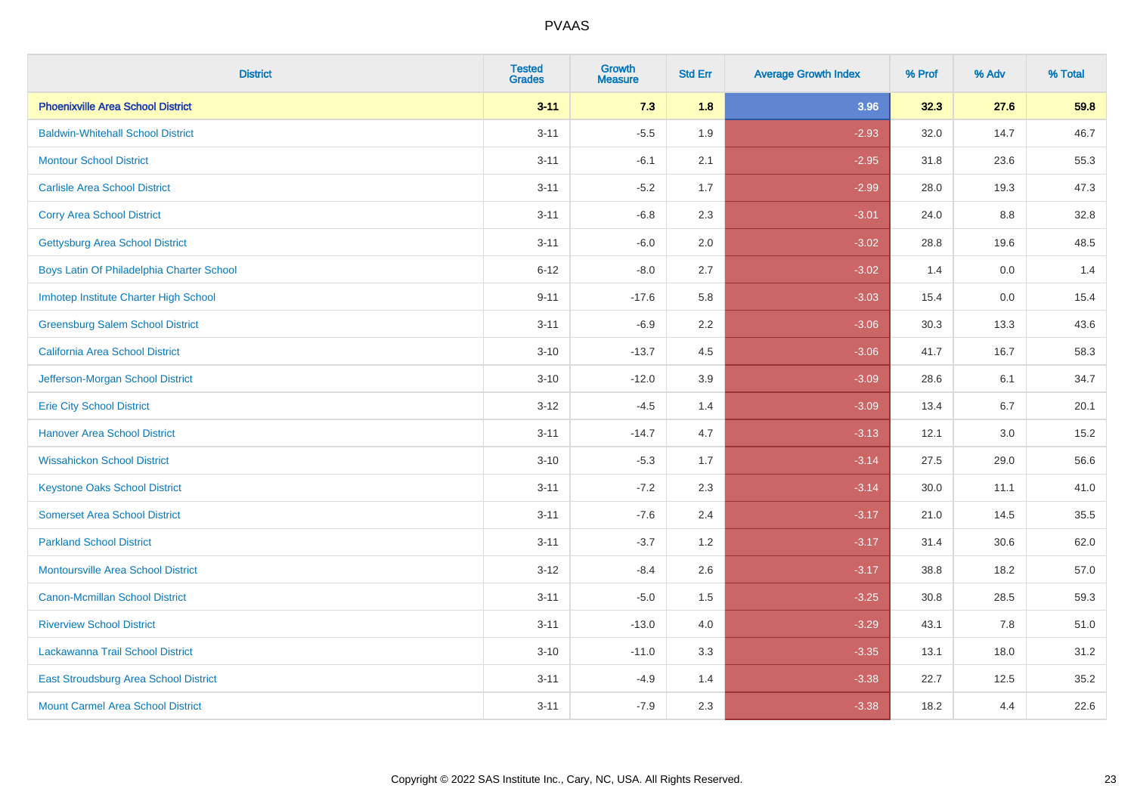| <b>District</b>                           | <b>Tested</b><br><b>Grades</b> | <b>Growth</b><br><b>Measure</b> | <b>Std Err</b> | <b>Average Growth Index</b> | % Prof | % Adv | % Total |
|-------------------------------------------|--------------------------------|---------------------------------|----------------|-----------------------------|--------|-------|---------|
| <b>Phoenixville Area School District</b>  | $3 - 11$                       | 7.3                             | 1.8            | 3.96                        | 32.3   | 27.6  | 59.8    |
| <b>Baldwin-Whitehall School District</b>  | $3 - 11$                       | $-5.5$                          | 1.9            | $-2.93$                     | 32.0   | 14.7  | 46.7    |
| <b>Montour School District</b>            | $3 - 11$                       | $-6.1$                          | 2.1            | $-2.95$                     | 31.8   | 23.6  | 55.3    |
| <b>Carlisle Area School District</b>      | $3 - 11$                       | $-5.2$                          | 1.7            | $-2.99$                     | 28.0   | 19.3  | 47.3    |
| <b>Corry Area School District</b>         | $3 - 11$                       | $-6.8$                          | 2.3            | $-3.01$                     | 24.0   | 8.8   | 32.8    |
| <b>Gettysburg Area School District</b>    | $3 - 11$                       | $-6.0$                          | 2.0            | $-3.02$                     | 28.8   | 19.6  | 48.5    |
| Boys Latin Of Philadelphia Charter School | $6 - 12$                       | $-8.0$                          | 2.7            | $-3.02$                     | 1.4    | 0.0   | 1.4     |
| Imhotep Institute Charter High School     | $9 - 11$                       | $-17.6$                         | 5.8            | $-3.03$                     | 15.4   | 0.0   | 15.4    |
| <b>Greensburg Salem School District</b>   | $3 - 11$                       | $-6.9$                          | 2.2            | $-3.06$                     | 30.3   | 13.3  | 43.6    |
| California Area School District           | $3 - 10$                       | $-13.7$                         | 4.5            | $-3.06$                     | 41.7   | 16.7  | 58.3    |
| Jefferson-Morgan School District          | $3 - 10$                       | $-12.0$                         | 3.9            | $-3.09$                     | 28.6   | 6.1   | 34.7    |
| <b>Erie City School District</b>          | $3 - 12$                       | $-4.5$                          | 1.4            | $-3.09$                     | 13.4   | 6.7   | 20.1    |
| <b>Hanover Area School District</b>       | $3 - 11$                       | $-14.7$                         | 4.7            | $-3.13$                     | 12.1   | 3.0   | 15.2    |
| <b>Wissahickon School District</b>        | $3 - 10$                       | $-5.3$                          | 1.7            | $-3.14$                     | 27.5   | 29.0  | 56.6    |
| <b>Keystone Oaks School District</b>      | $3 - 11$                       | $-7.2$                          | 2.3            | $-3.14$                     | 30.0   | 11.1  | 41.0    |
| <b>Somerset Area School District</b>      | $3 - 11$                       | $-7.6$                          | 2.4            | $-3.17$                     | 21.0   | 14.5  | 35.5    |
| <b>Parkland School District</b>           | $3 - 11$                       | $-3.7$                          | 1.2            | $-3.17$                     | 31.4   | 30.6  | 62.0    |
| <b>Montoursville Area School District</b> | $3 - 12$                       | $-8.4$                          | 2.6            | $-3.17$                     | 38.8   | 18.2  | 57.0    |
| <b>Canon-Mcmillan School District</b>     | $3 - 11$                       | $-5.0$                          | 1.5            | $-3.25$                     | 30.8   | 28.5  | 59.3    |
| <b>Riverview School District</b>          | $3 - 11$                       | $-13.0$                         | 4.0            | $-3.29$                     | 43.1   | 7.8   | 51.0    |
| Lackawanna Trail School District          | $3 - 10$                       | $-11.0$                         | 3.3            | $-3.35$                     | 13.1   | 18.0  | 31.2    |
| East Stroudsburg Area School District     | $3 - 11$                       | $-4.9$                          | 1.4            | $-3.38$                     | 22.7   | 12.5  | 35.2    |
| <b>Mount Carmel Area School District</b>  | $3 - 11$                       | $-7.9$                          | 2.3            | $-3.38$                     | 18.2   | 4.4   | 22.6    |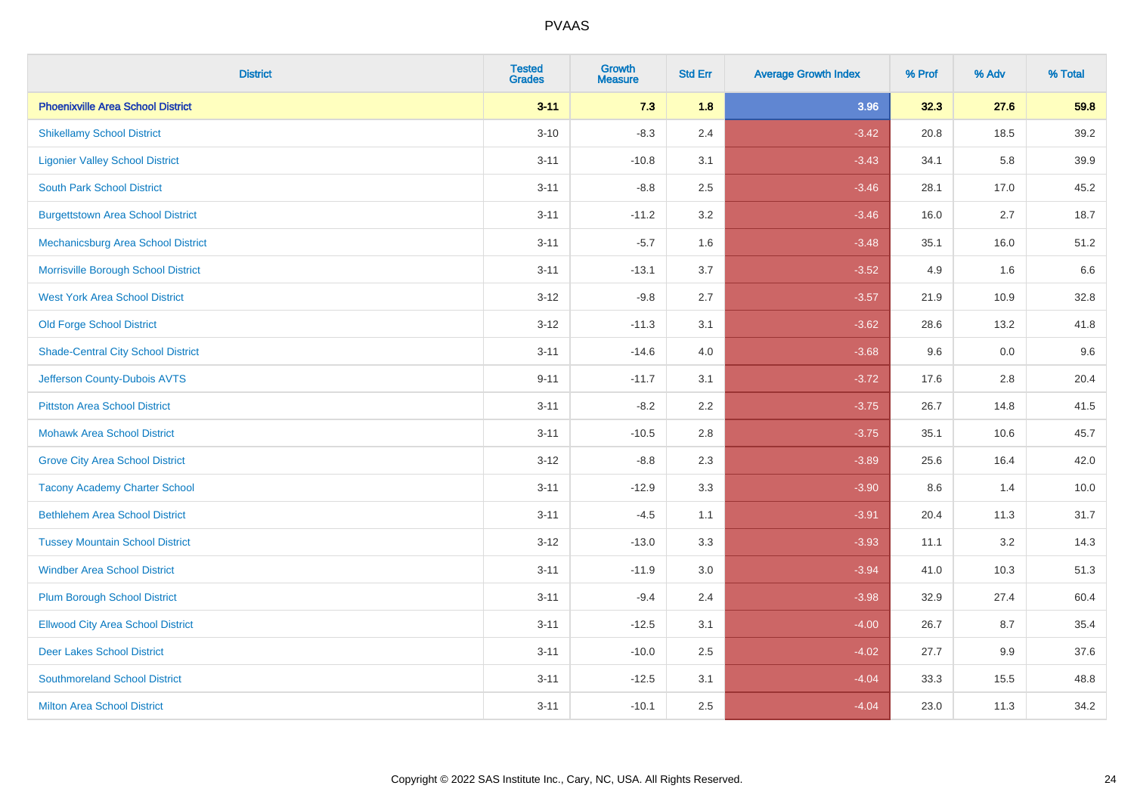| <b>District</b>                           | <b>Tested</b><br><b>Grades</b> | <b>Growth</b><br><b>Measure</b> | <b>Std Err</b> | <b>Average Growth Index</b> | % Prof | % Adv | % Total |
|-------------------------------------------|--------------------------------|---------------------------------|----------------|-----------------------------|--------|-------|---------|
| <b>Phoenixville Area School District</b>  | $3 - 11$                       | 7.3                             | 1.8            | 3.96                        | 32.3   | 27.6  | 59.8    |
| <b>Shikellamy School District</b>         | $3 - 10$                       | $-8.3$                          | 2.4            | $-3.42$                     | 20.8   | 18.5  | 39.2    |
| <b>Ligonier Valley School District</b>    | $3 - 11$                       | $-10.8$                         | 3.1            | $-3.43$                     | 34.1   | 5.8   | 39.9    |
| <b>South Park School District</b>         | $3 - 11$                       | $-8.8$                          | 2.5            | $-3.46$                     | 28.1   | 17.0  | 45.2    |
| <b>Burgettstown Area School District</b>  | $3 - 11$                       | $-11.2$                         | 3.2            | $-3.46$                     | 16.0   | 2.7   | 18.7    |
| Mechanicsburg Area School District        | $3 - 11$                       | $-5.7$                          | 1.6            | $-3.48$                     | 35.1   | 16.0  | 51.2    |
| Morrisville Borough School District       | $3 - 11$                       | $-13.1$                         | 3.7            | $-3.52$                     | 4.9    | 1.6   | 6.6     |
| <b>West York Area School District</b>     | $3 - 12$                       | $-9.8$                          | 2.7            | $-3.57$                     | 21.9   | 10.9  | 32.8    |
| <b>Old Forge School District</b>          | $3 - 12$                       | $-11.3$                         | 3.1            | $-3.62$                     | 28.6   | 13.2  | 41.8    |
| <b>Shade-Central City School District</b> | $3 - 11$                       | $-14.6$                         | 4.0            | $-3.68$                     | 9.6    | 0.0   | 9.6     |
| Jefferson County-Dubois AVTS              | $9 - 11$                       | $-11.7$                         | 3.1            | $-3.72$                     | 17.6   | 2.8   | 20.4    |
| <b>Pittston Area School District</b>      | $3 - 11$                       | $-8.2$                          | 2.2            | $-3.75$                     | 26.7   | 14.8  | 41.5    |
| <b>Mohawk Area School District</b>        | $3 - 11$                       | $-10.5$                         | 2.8            | $-3.75$                     | 35.1   | 10.6  | 45.7    |
| <b>Grove City Area School District</b>    | $3 - 12$                       | $-8.8$                          | 2.3            | $-3.89$                     | 25.6   | 16.4  | 42.0    |
| <b>Tacony Academy Charter School</b>      | $3 - 11$                       | $-12.9$                         | 3.3            | $-3.90$                     | 8.6    | 1.4   | 10.0    |
| <b>Bethlehem Area School District</b>     | $3 - 11$                       | $-4.5$                          | 1.1            | $-3.91$                     | 20.4   | 11.3  | 31.7    |
| <b>Tussey Mountain School District</b>    | $3 - 12$                       | $-13.0$                         | 3.3            | $-3.93$                     | 11.1   | 3.2   | 14.3    |
| <b>Windber Area School District</b>       | $3 - 11$                       | $-11.9$                         | 3.0            | $-3.94$                     | 41.0   | 10.3  | 51.3    |
| <b>Plum Borough School District</b>       | $3 - 11$                       | $-9.4$                          | 2.4            | $-3.98$                     | 32.9   | 27.4  | 60.4    |
| <b>Ellwood City Area School District</b>  | $3 - 11$                       | $-12.5$                         | 3.1            | $-4.00$                     | 26.7   | 8.7   | 35.4    |
| <b>Deer Lakes School District</b>         | $3 - 11$                       | $-10.0$                         | 2.5            | $-4.02$                     | 27.7   | 9.9   | 37.6    |
| <b>Southmoreland School District</b>      | $3 - 11$                       | $-12.5$                         | 3.1            | $-4.04$                     | 33.3   | 15.5  | 48.8    |
| <b>Milton Area School District</b>        | $3 - 11$                       | $-10.1$                         | 2.5            | $-4.04$                     | 23.0   | 11.3  | 34.2    |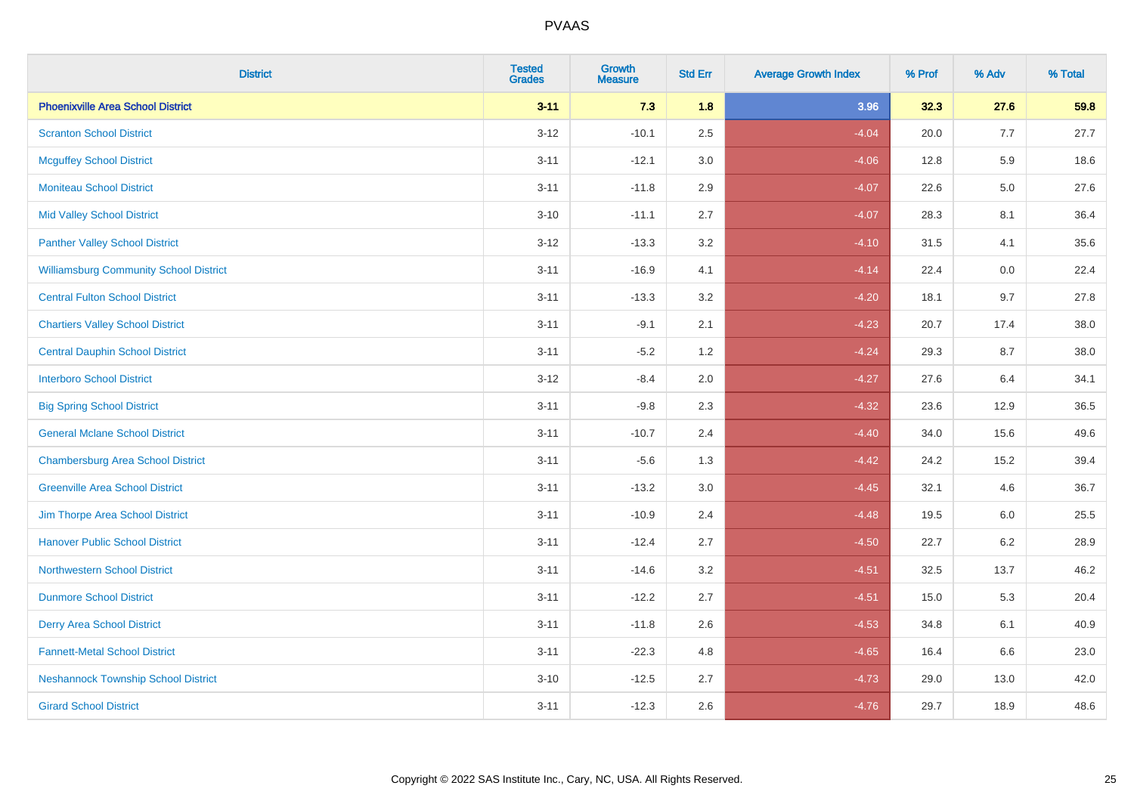| <b>District</b>                               | <b>Tested</b><br><b>Grades</b> | <b>Growth</b><br><b>Measure</b> | <b>Std Err</b> | <b>Average Growth Index</b> | % Prof | % Adv   | % Total |
|-----------------------------------------------|--------------------------------|---------------------------------|----------------|-----------------------------|--------|---------|---------|
| <b>Phoenixville Area School District</b>      | $3 - 11$                       | 7.3                             | 1.8            | 3.96                        | 32.3   | 27.6    | 59.8    |
| <b>Scranton School District</b>               | $3 - 12$                       | $-10.1$                         | 2.5            | $-4.04$                     | 20.0   | 7.7     | 27.7    |
| <b>Mcguffey School District</b>               | $3 - 11$                       | $-12.1$                         | 3.0            | $-4.06$                     | 12.8   | 5.9     | 18.6    |
| <b>Moniteau School District</b>               | $3 - 11$                       | $-11.8$                         | 2.9            | $-4.07$                     | 22.6   | $5.0\,$ | 27.6    |
| <b>Mid Valley School District</b>             | $3 - 10$                       | $-11.1$                         | 2.7            | $-4.07$                     | 28.3   | 8.1     | 36.4    |
| <b>Panther Valley School District</b>         | $3 - 12$                       | $-13.3$                         | 3.2            | $-4.10$                     | 31.5   | 4.1     | 35.6    |
| <b>Williamsburg Community School District</b> | $3 - 11$                       | $-16.9$                         | 4.1            | $-4.14$                     | 22.4   | 0.0     | 22.4    |
| <b>Central Fulton School District</b>         | $3 - 11$                       | $-13.3$                         | 3.2            | $-4.20$                     | 18.1   | 9.7     | 27.8    |
| <b>Chartiers Valley School District</b>       | $3 - 11$                       | $-9.1$                          | 2.1            | $-4.23$                     | 20.7   | 17.4    | 38.0    |
| <b>Central Dauphin School District</b>        | $3 - 11$                       | $-5.2$                          | 1.2            | $-4.24$                     | 29.3   | 8.7     | 38.0    |
| <b>Interboro School District</b>              | $3 - 12$                       | $-8.4$                          | 2.0            | $-4.27$                     | 27.6   | 6.4     | 34.1    |
| <b>Big Spring School District</b>             | $3 - 11$                       | $-9.8$                          | 2.3            | $-4.32$                     | 23.6   | 12.9    | 36.5    |
| <b>General Mclane School District</b>         | $3 - 11$                       | $-10.7$                         | 2.4            | $-4.40$                     | 34.0   | 15.6    | 49.6    |
| <b>Chambersburg Area School District</b>      | $3 - 11$                       | $-5.6$                          | 1.3            | $-4.42$                     | 24.2   | 15.2    | 39.4    |
| <b>Greenville Area School District</b>        | $3 - 11$                       | $-13.2$                         | 3.0            | $-4.45$                     | 32.1   | 4.6     | 36.7    |
| Jim Thorpe Area School District               | $3 - 11$                       | $-10.9$                         | 2.4            | $-4.48$                     | 19.5   | 6.0     | 25.5    |
| <b>Hanover Public School District</b>         | $3 - 11$                       | $-12.4$                         | 2.7            | $-4.50$                     | 22.7   | $6.2\,$ | 28.9    |
| <b>Northwestern School District</b>           | $3 - 11$                       | $-14.6$                         | 3.2            | $-4.51$                     | 32.5   | 13.7    | 46.2    |
| <b>Dunmore School District</b>                | $3 - 11$                       | $-12.2$                         | 2.7            | $-4.51$                     | 15.0   | 5.3     | 20.4    |
| <b>Derry Area School District</b>             | $3 - 11$                       | $-11.8$                         | 2.6            | $-4.53$                     | 34.8   | 6.1     | 40.9    |
| <b>Fannett-Metal School District</b>          | $3 - 11$                       | $-22.3$                         | 4.8            | $-4.65$                     | 16.4   | 6.6     | 23.0    |
| <b>Neshannock Township School District</b>    | $3 - 10$                       | $-12.5$                         | 2.7            | $-4.73$                     | 29.0   | 13.0    | 42.0    |
| <b>Girard School District</b>                 | $3 - 11$                       | $-12.3$                         | 2.6            | $-4.76$                     | 29.7   | 18.9    | 48.6    |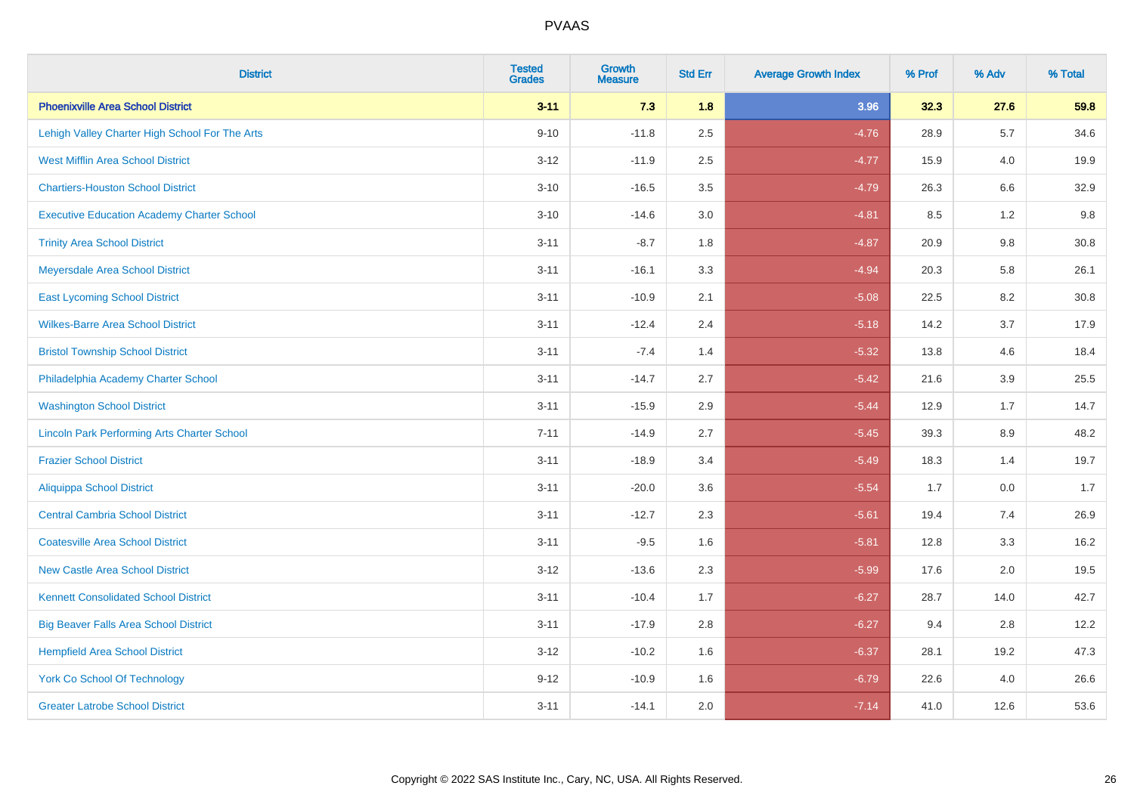| <b>District</b>                                    | <b>Tested</b><br><b>Grades</b> | <b>Growth</b><br><b>Measure</b> | <b>Std Err</b> | <b>Average Growth Index</b> | % Prof | % Adv   | % Total |
|----------------------------------------------------|--------------------------------|---------------------------------|----------------|-----------------------------|--------|---------|---------|
| <b>Phoenixville Area School District</b>           | $3 - 11$                       | 7.3                             | 1.8            | 3.96                        | 32.3   | 27.6    | 59.8    |
| Lehigh Valley Charter High School For The Arts     | $9 - 10$                       | $-11.8$                         | 2.5            | $-4.76$                     | 28.9   | 5.7     | 34.6    |
| <b>West Mifflin Area School District</b>           | $3 - 12$                       | $-11.9$                         | 2.5            | $-4.77$                     | 15.9   | 4.0     | 19.9    |
| <b>Chartiers-Houston School District</b>           | $3 - 10$                       | $-16.5$                         | 3.5            | $-4.79$                     | 26.3   | 6.6     | 32.9    |
| <b>Executive Education Academy Charter School</b>  | $3 - 10$                       | $-14.6$                         | 3.0            | $-4.81$                     | 8.5    | 1.2     | 9.8     |
| <b>Trinity Area School District</b>                | $3 - 11$                       | $-8.7$                          | 1.8            | $-4.87$                     | 20.9   | 9.8     | 30.8    |
| Meyersdale Area School District                    | $3 - 11$                       | $-16.1$                         | 3.3            | $-4.94$                     | 20.3   | 5.8     | 26.1    |
| <b>East Lycoming School District</b>               | $3 - 11$                       | $-10.9$                         | 2.1            | $-5.08$                     | 22.5   | 8.2     | 30.8    |
| <b>Wilkes-Barre Area School District</b>           | $3 - 11$                       | $-12.4$                         | 2.4            | $-5.18$                     | 14.2   | 3.7     | 17.9    |
| <b>Bristol Township School District</b>            | $3 - 11$                       | $-7.4$                          | 1.4            | $-5.32$                     | 13.8   | 4.6     | 18.4    |
| Philadelphia Academy Charter School                | $3 - 11$                       | $-14.7$                         | 2.7            | $-5.42$                     | 21.6   | 3.9     | 25.5    |
| <b>Washington School District</b>                  | $3 - 11$                       | $-15.9$                         | 2.9            | $-5.44$                     | 12.9   | 1.7     | 14.7    |
| <b>Lincoln Park Performing Arts Charter School</b> | $7 - 11$                       | $-14.9$                         | 2.7            | $-5.45$                     | 39.3   | $8.9\,$ | 48.2    |
| <b>Frazier School District</b>                     | $3 - 11$                       | $-18.9$                         | 3.4            | $-5.49$                     | 18.3   | 1.4     | 19.7    |
| <b>Aliquippa School District</b>                   | $3 - 11$                       | $-20.0$                         | 3.6            | $-5.54$                     | 1.7    | 0.0     | 1.7     |
| <b>Central Cambria School District</b>             | $3 - 11$                       | $-12.7$                         | 2.3            | $-5.61$                     | 19.4   | 7.4     | 26.9    |
| <b>Coatesville Area School District</b>            | $3 - 11$                       | $-9.5$                          | 1.6            | $-5.81$                     | 12.8   | 3.3     | 16.2    |
| <b>New Castle Area School District</b>             | $3 - 12$                       | $-13.6$                         | 2.3            | $-5.99$                     | 17.6   | 2.0     | 19.5    |
| <b>Kennett Consolidated School District</b>        | $3 - 11$                       | $-10.4$                         | 1.7            | $-6.27$                     | 28.7   | 14.0    | 42.7    |
| <b>Big Beaver Falls Area School District</b>       | $3 - 11$                       | $-17.9$                         | 2.8            | $-6.27$                     | 9.4    | 2.8     | 12.2    |
| <b>Hempfield Area School District</b>              | $3 - 12$                       | $-10.2$                         | 1.6            | $-6.37$                     | 28.1   | 19.2    | 47.3    |
| York Co School Of Technology                       | $9 - 12$                       | $-10.9$                         | 1.6            | $-6.79$                     | 22.6   | 4.0     | 26.6    |
| <b>Greater Latrobe School District</b>             | $3 - 11$                       | $-14.1$                         | 2.0            | $-7.14$                     | 41.0   | 12.6    | 53.6    |